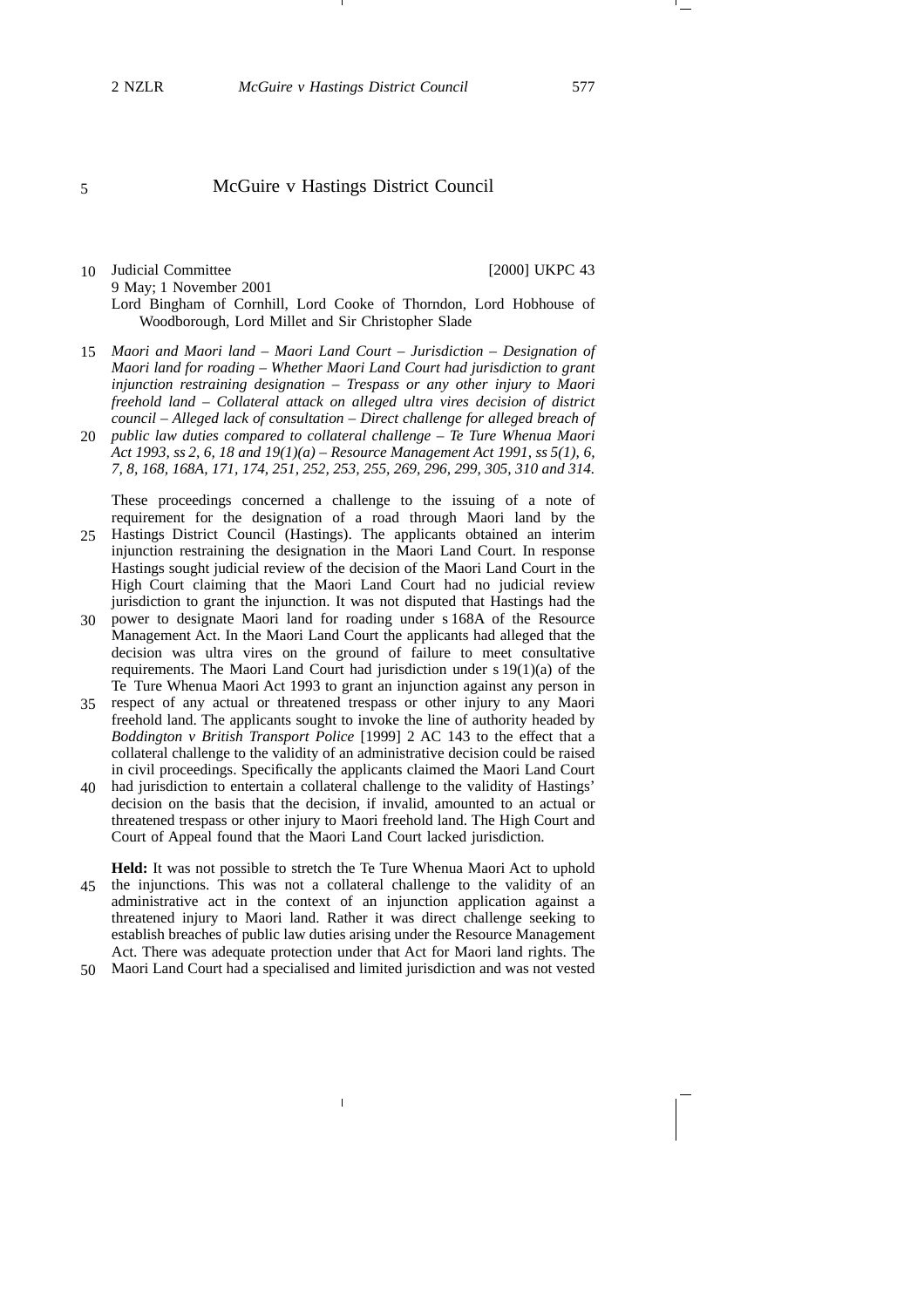# McGuire v Hastings District Council

## 10 Judicial Committee [2000] UKPC 43 9 May; 1 November 2001 Lord Bingham of Cornhill, Lord Cooke of Thorndon, Lord Hobhouse of Woodborough, Lord Millet and Sir Christopher Slade

- *Maori and Maori land – Maori Land Court – Jurisdiction – Designation of* 15 *Maori land for roading – Whether Maori Land Court had jurisdiction to grant injunction restraining designation – Trespass or any other injury to Maori freehold land – Collateral attack on alleged ultra vires decision of district council – Alleged lack of consultation – Direct challenge for alleged breach of*
- *public law duties compared to collateral challenge – Te Ture Whenua Maori* 20 *Act 1993, ss 2, 6, 18 and 19(1)(a) – Resource Management Act 1991, ss 5(1), 6, 7, 8, 168, 168A, 171, 174, 251, 252, 253, 255, 269, 296, 299, 305, 310 and 314.*

These proceedings concerned a challenge to the issuing of a note of requirement for the designation of a road through Maori land by the

- Hastings District Council (Hastings). The applicants obtained an interim 25 injunction restraining the designation in the Maori Land Court. In response Hastings sought judicial review of the decision of the Maori Land Court in the High Court claiming that the Maori Land Court had no judicial review jurisdiction to grant the injunction. It was not disputed that Hastings had the
- power to designate Maori land for roading under s 168A of the Resource 30 Management Act. In the Maori Land Court the applicants had alleged that the decision was ultra vires on the ground of failure to meet consultative requirements. The Maori Land Court had jurisdiction under s 19(1)(a) of the Te Ture Whenua Maori Act 1993 to grant an injunction against any person in
- 35 respect of any actual or threatened trespass or other injury to any Maori freehold land. The applicants sought to invoke the line of authority headed by *Boddington v British Transport Police* [1999] 2 AC 143 to the effect that a collateral challenge to the validity of an administrative decision could be raised in civil proceedings. Specifically the applicants claimed the Maori Land Court
- had jurisdiction to entertain a collateral challenge to the validity of Hastings' decision on the basis that the decision, if invalid, amounted to an actual or threatened trespass or other injury to Maori freehold land. The High Court and Court of Appeal found that the Maori Land Court lacked jurisdiction. 40
- **Held:** It was not possible to stretch the Te Ture Whenua Maori Act to uphold 45 the injunctions. This was not a collateral challenge to the validity of an administrative act in the context of an injunction application against a threatened injury to Maori land. Rather it was direct challenge seeking to establish breaches of public law duties arising under the Resource Management Act. There was adequate protection under that Act for Maori land rights. The
- Maori Land Court had a specialised and limited jurisdiction and was not vested 50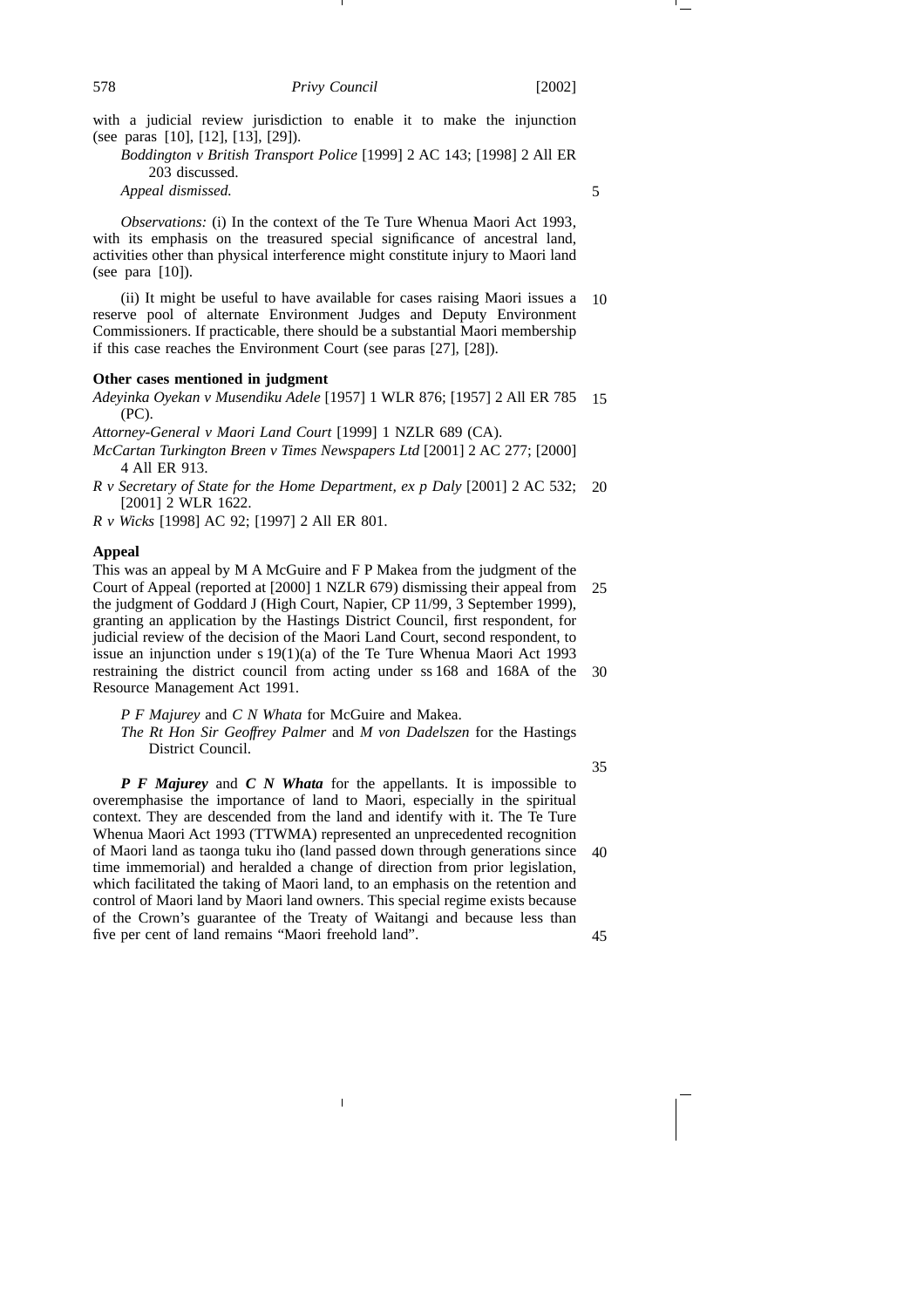with a judicial review jurisdiction to enable it to make the injunction (see paras [10], [12], [13], [29]).

*Boddington v British Transport Police* [1999] 2 AC 143; [1998] 2 All ER 203 discussed.

*Appeal dismissed.*

*Observations:* (i) In the context of the Te Ture Whenua Maori Act 1993, with its emphasis on the treasured special significance of ancestral land, activities other than physical interference might constitute injury to Maori land (see para [10]).

(ii) It might be useful to have available for cases raising Maori issues a reserve pool of alternate Environment Judges and Deputy Environment Commissioners. If practicable, there should be a substantial Maori membership if this case reaches the Environment Court (see paras [27], [28]). 10

### **Other cases mentioned in judgment**

*Adeyinka Oyekan v Musendiku Adele* [1957] 1 WLR 876; [1957] 2 All ER 785 (PC). 15

*Attorney-General v Maori Land Court* [1999] 1 NZLR 689 (CA).

- *McCartan Turkington Breen v Times Newspapers Ltd* [2001] 2 AC 277; [2000] 4 All ER 913.
- *R v Secretary of State for the Home Department, ex p Daly* [2001] 2 AC 532; 20 [2001] 2 WLR 1622.

*R v Wicks* [1998] AC 92; [1997] 2 All ER 801.

## **Appeal**

This was an appeal by M A McGuire and F P Makea from the judgment of the Court of Appeal (reported at [2000] 1 NZLR 679) dismissing their appeal from the judgment of Goddard J (High Court, Napier, CP 11/99, 3 September 1999), granting an application by the Hastings District Council, first respondent, for judicial review of the decision of the Maori Land Court, second respondent, to issue an injunction under s 19(1)(a) of the Te Ture Whenua Maori Act 1993 restraining the district council from acting under ss 168 and 168A of the 30 Resource Management Act 1991. 25

*P F Majurey* and *C N Whata* for McGuire and Makea.

*The Rt Hon Sir Geoffrey Palmer* and *M von Dadelszen* for the Hastings District Council.

35

*P F Majurey* and *C N Whata* for the appellants. It is impossible to overemphasise the importance of land to Maori, especially in the spiritual context. They are descended from the land and identify with it. The Te Ture Whenua Maori Act 1993 (TTWMA) represented an unprecedented recognition of Maori land as taonga tuku iho (land passed down through generations since time immemorial) and heralded a change of direction from prior legislation, which facilitated the taking of Maori land, to an emphasis on the retention and control of Maori land by Maori land owners. This special regime exists because of the Crown's guarantee of the Treaty of Waitangi and because less than five per cent of land remains "Maori freehold land". 40 45

5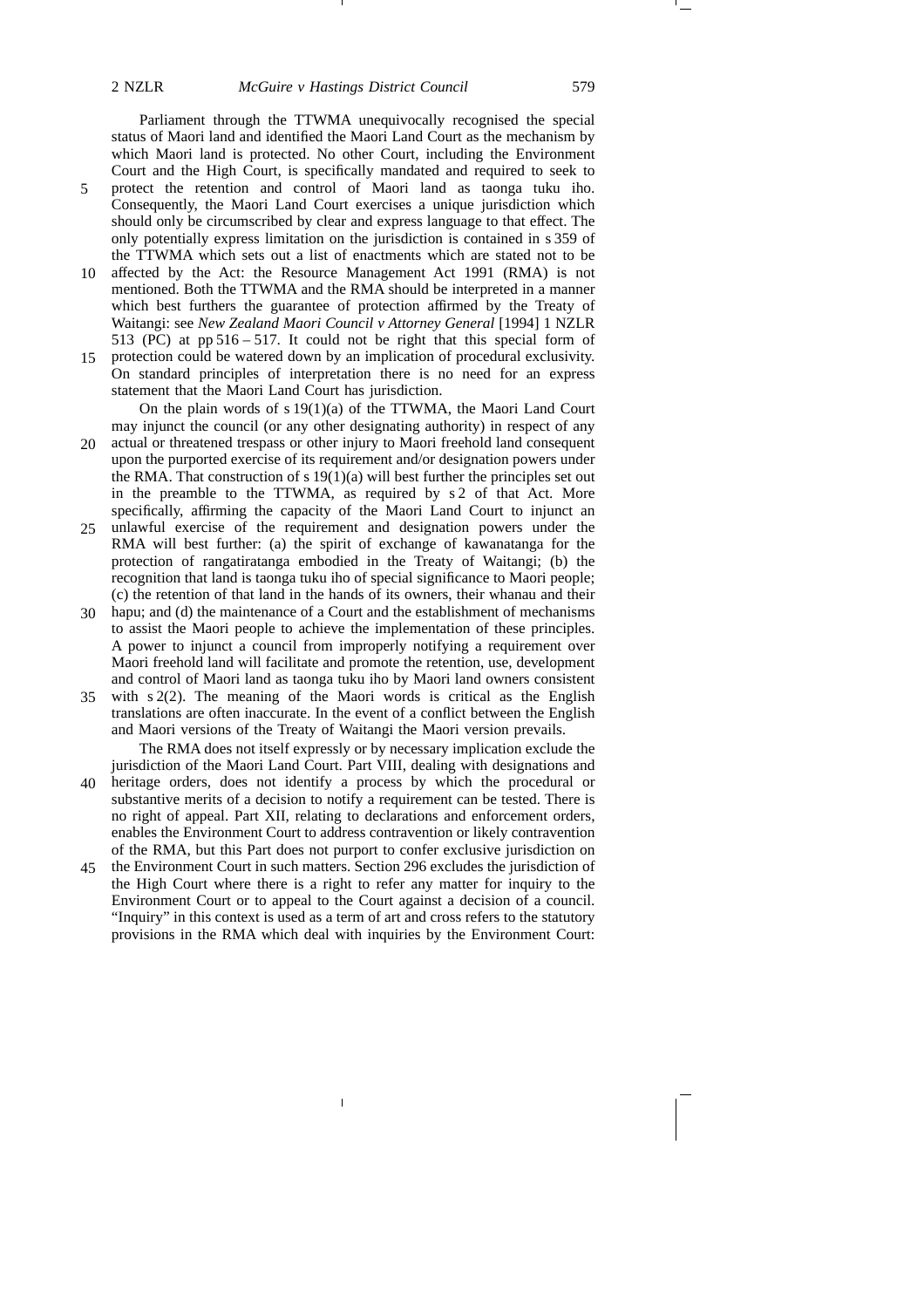Parliament through the TTWMA unequivocally recognised the special status of Maori land and identified the Maori Land Court as the mechanism by which Maori land is protected. No other Court, including the Environment Court and the High Court, is specifically mandated and required to seek to protect the retention and control of Maori land as taonga tuku iho. Consequently, the Maori Land Court exercises a unique jurisdiction which should only be circumscribed by clear and express language to that effect. The only potentially express limitation on the jurisdiction is contained in s 359 of the TTWMA which sets out a list of enactments which are stated not to be

- affected by the Act: the Resource Management Act 1991 (RMA) is not mentioned. Both the TTWMA and the RMA should be interpreted in a manner which best furthers the guarantee of protection affirmed by the Treaty of Waitangi: see *New Zealand Maori Council v Attorney General* [1994] 1 NZLR 513 (PC) at pp 516 – 517. It could not be right that this special form of 10
- protection could be watered down by an implication of procedural exclusivity. On standard principles of interpretation there is no need for an express statement that the Maori Land Court has jurisdiction. 15

On the plain words of s 19(1)(a) of the TTWMA, the Maori Land Court may injunct the council (or any other designating authority) in respect of any actual or threatened trespass or other injury to Maori freehold land consequent upon the purported exercise of its requirement and/or designation powers under the RMA. That construction of s  $19(1)(a)$  will best further the principles set out in the preamble to the TTWMA, as required by s 2 of that Act. More specifically, affirming the capacity of the Maori Land Court to injunct an 20

- unlawful exercise of the requirement and designation powers under the RMA will best further: (a) the spirit of exchange of kawanatanga for the protection of rangatiratanga embodied in the Treaty of Waitangi; (b) the recognition that land is taonga tuku iho of special significance to Maori people; (c) the retention of that land in the hands of its owners, their whanau and their 25
- hapu; and (d) the maintenance of a Court and the establishment of mechanisms to assist the Maori people to achieve the implementation of these principles. A power to injunct a council from improperly notifying a requirement over Maori freehold land will facilitate and promote the retention, use, development and control of Maori land as taonga tuku iho by Maori land owners consistent 30
- with s 2(2). The meaning of the Maori words is critical as the English translations are often inaccurate. In the event of a conflict between the English and Maori versions of the Treaty of Waitangi the Maori version prevails. 35

The RMA does not itself expressly or by necessary implication exclude the jurisdiction of the Maori Land Court. Part VIII, dealing with designations and

- heritage orders, does not identify a process by which the procedural or substantive merits of a decision to notify a requirement can be tested. There is no right of appeal. Part XII, relating to declarations and enforcement orders, enables the Environment Court to address contravention or likely contravention of the RMA, but this Part does not purport to confer exclusive jurisdiction on 40
- the Environment Court in such matters. Section 296 excludes the jurisdiction of the High Court where there is a right to refer any matter for inquiry to the Environment Court or to appeal to the Court against a decision of a council. "Inquiry" in this context is used as a term of art and cross refers to the statutory provisions in the RMA which deal with inquiries by the Environment Court: 45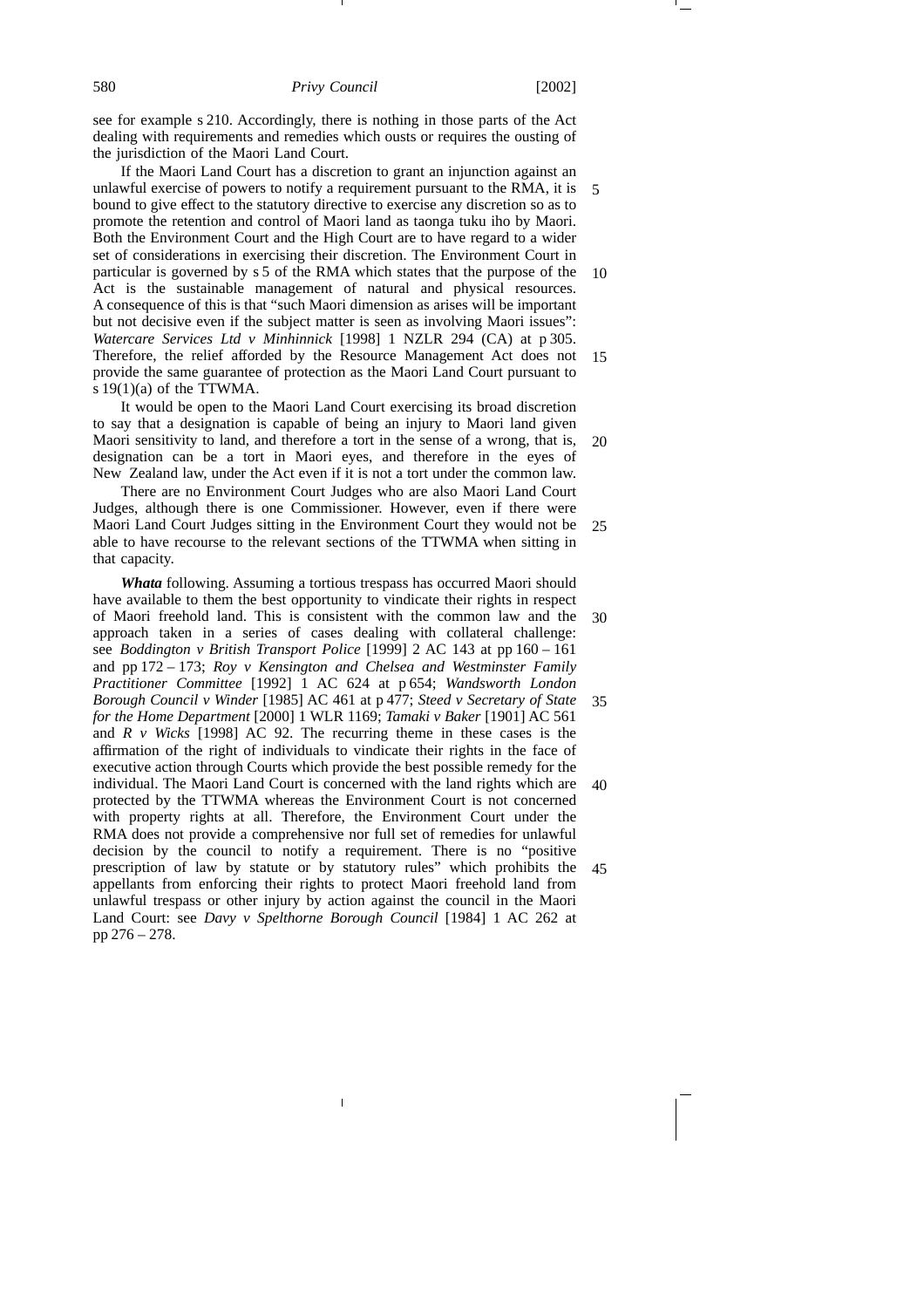see for example s 210. Accordingly, there is nothing in those parts of the Act dealing with requirements and remedies which ousts or requires the ousting of the jurisdiction of the Maori Land Court.

If the Maori Land Court has a discretion to grant an injunction against an unlawful exercise of powers to notify a requirement pursuant to the RMA, it is bound to give effect to the statutory directive to exercise any discretion so as to promote the retention and control of Maori land as taonga tuku iho by Maori. Both the Environment Court and the High Court are to have regard to a wider set of considerations in exercising their discretion. The Environment Court in particular is governed by s 5 of the RMA which states that the purpose of the Act is the sustainable management of natural and physical resources. A consequence of this is that "such Maori dimension as arises will be important but not decisive even if the subject matter is seen as involving Maori issues": *Watercare Services Ltd v Minhinnick* [1998] 1 NZLR 294 (CA) at p 305. Therefore, the relief afforded by the Resource Management Act does not provide the same guarantee of protection as the Maori Land Court pursuant to s  $19(1)(a)$  of the TTWMA. 5 10 15

It would be open to the Maori Land Court exercising its broad discretion to say that a designation is capable of being an injury to Maori land given Maori sensitivity to land, and therefore a tort in the sense of a wrong, that is, designation can be a tort in Maori eyes, and therefore in the eyes of New Zealand law, under the Act even if it is not a tort under the common law. 20

There are no Environment Court Judges who are also Maori Land Court Judges, although there is one Commissioner. However, even if there were Maori Land Court Judges sitting in the Environment Court they would not be able to have recourse to the relevant sections of the TTWMA when sitting in that capacity. 25

*Whata* following. Assuming a tortious trespass has occurred Maori should have available to them the best opportunity to vindicate their rights in respect of Maori freehold land. This is consistent with the common law and the approach taken in a series of cases dealing with collateral challenge: see *Boddington v British Transport Police* [1999] 2 AC 143 at pp 160 – 161 and pp 172 – 173; *Roy v Kensington and Chelsea and Westminster Family Practitioner Committee* [1992] 1 AC 624 at p 654; *Wandsworth London Borough Council v Winder* [1985] AC 461 at p 477; *Steed v Secretary of State for the Home Department* [2000] 1 WLR 1169; *Tamaki v Baker* [1901] AC 561 and *R v Wicks* [1998] AC 92. The recurring theme in these cases is the affirmation of the right of individuals to vindicate their rights in the face of executive action through Courts which provide the best possible remedy for the individual. The Maori Land Court is concerned with the land rights which are protected by the TTWMA whereas the Environment Court is not concerned with property rights at all. Therefore, the Environment Court under the RMA does not provide a comprehensive nor full set of remedies for unlawful decision by the council to notify a requirement. There is no "positive prescription of law by statute or by statutory rules" which prohibits the appellants from enforcing their rights to protect Maori freehold land from unlawful trespass or other injury by action against the council in the Maori Land Court: see *Davy v Spelthorne Borough Council* [1984] 1 AC 262 at pp 276 – 278. 30 35 40 45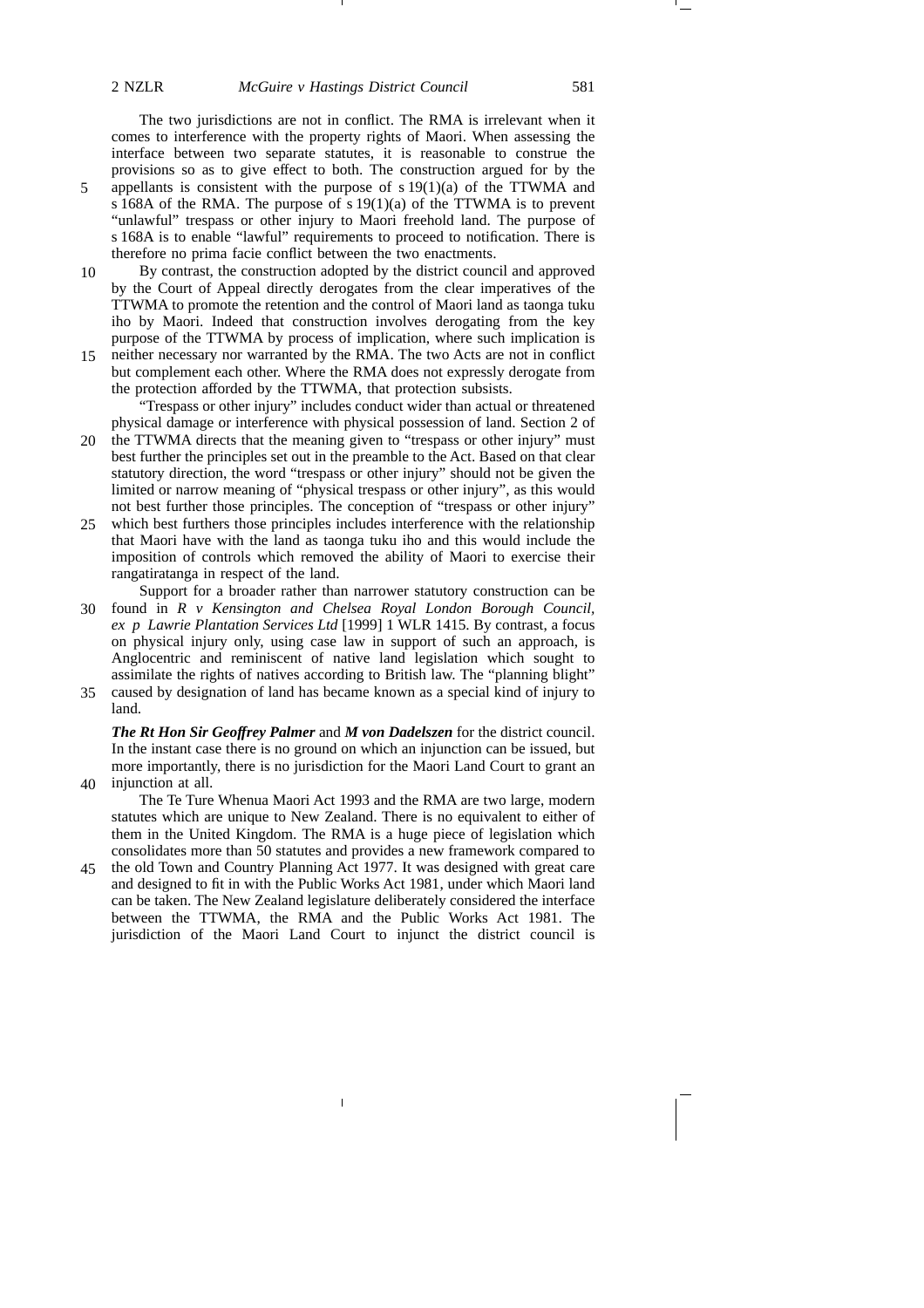40

The two jurisdictions are not in conflict. The RMA is irrelevant when it comes to interference with the property rights of Maori. When assessing the interface between two separate statutes, it is reasonable to construe the provisions so as to give effect to both. The construction argued for by the appellants is consistent with the purpose of  $s 19(1)(a)$  of the TTWMA and s 168A of the RMA. The purpose of  $s 19(1)(a)$  of the TTWMA is to prevent "unlawful" trespass or other injury to Maori freehold land. The purpose of s 168A is to enable "lawful" requirements to proceed to notification. There is therefore no prima facie conflict between the two enactments.

- By contrast, the construction adopted by the district council and approved by the Court of Appeal directly derogates from the clear imperatives of the TTWMA to promote the retention and the control of Maori land as taonga tuku iho by Maori. Indeed that construction involves derogating from the key purpose of the TTWMA by process of implication, where such implication is 10
- neither necessary nor warranted by the RMA. The two Acts are not in conflict but complement each other. Where the RMA does not expressly derogate from the protection afforded by the TTWMA, that protection subsists. 15

"Trespass or other injury" includes conduct wider than actual or threatened physical damage or interference with physical possession of land. Section 2 of

- the TTWMA directs that the meaning given to "trespass or other injury" must best further the principles set out in the preamble to the Act. Based on that clear statutory direction, the word "trespass or other injury" should not be given the limited or narrow meaning of "physical trespass or other injury", as this would not best further those principles. The conception of "trespass or other injury" 20
- which best furthers those principles includes interference with the relationship that Maori have with the land as taonga tuku iho and this would include the imposition of controls which removed the ability of Maori to exercise their rangatiratanga in respect of the land. 25

Support for a broader rather than narrower statutory construction can be found in *R v Kensington and Chelsea Royal London Borough Council,*

- *ex p Lawrie Plantation Services Ltd* [1999] 1 WLR 1415. By contrast, a focus on physical injury only, using case law in support of such an approach, is Anglocentric and reminiscent of native land legislation which sought to assimilate the rights of natives according to British law. The "planning blight" 30
- caused by designation of land has became known as a special kind of injury to land. 35

*The Rt Hon Sir Geoffrey Palmer* and *M von Dadelszen* for the district council. In the instant case there is no ground on which an injunction can be issued, but more importantly, there is no jurisdiction for the Maori Land Court to grant an injunction at all.

The Te Ture Whenua Maori Act 1993 and the RMA are two large, modern statutes which are unique to New Zealand. There is no equivalent to either of them in the United Kingdom. The RMA is a huge piece of legislation which consolidates more than 50 statutes and provides a new framework compared to

the old Town and Country Planning Act 1977. It was designed with great care and designed to fit in with the Public Works Act 1981, under which Maori land can be taken. The New Zealand legislature deliberately considered the interface between the TTWMA, the RMA and the Public Works Act 1981. The jurisdiction of the Maori Land Court to injunct the district council is 45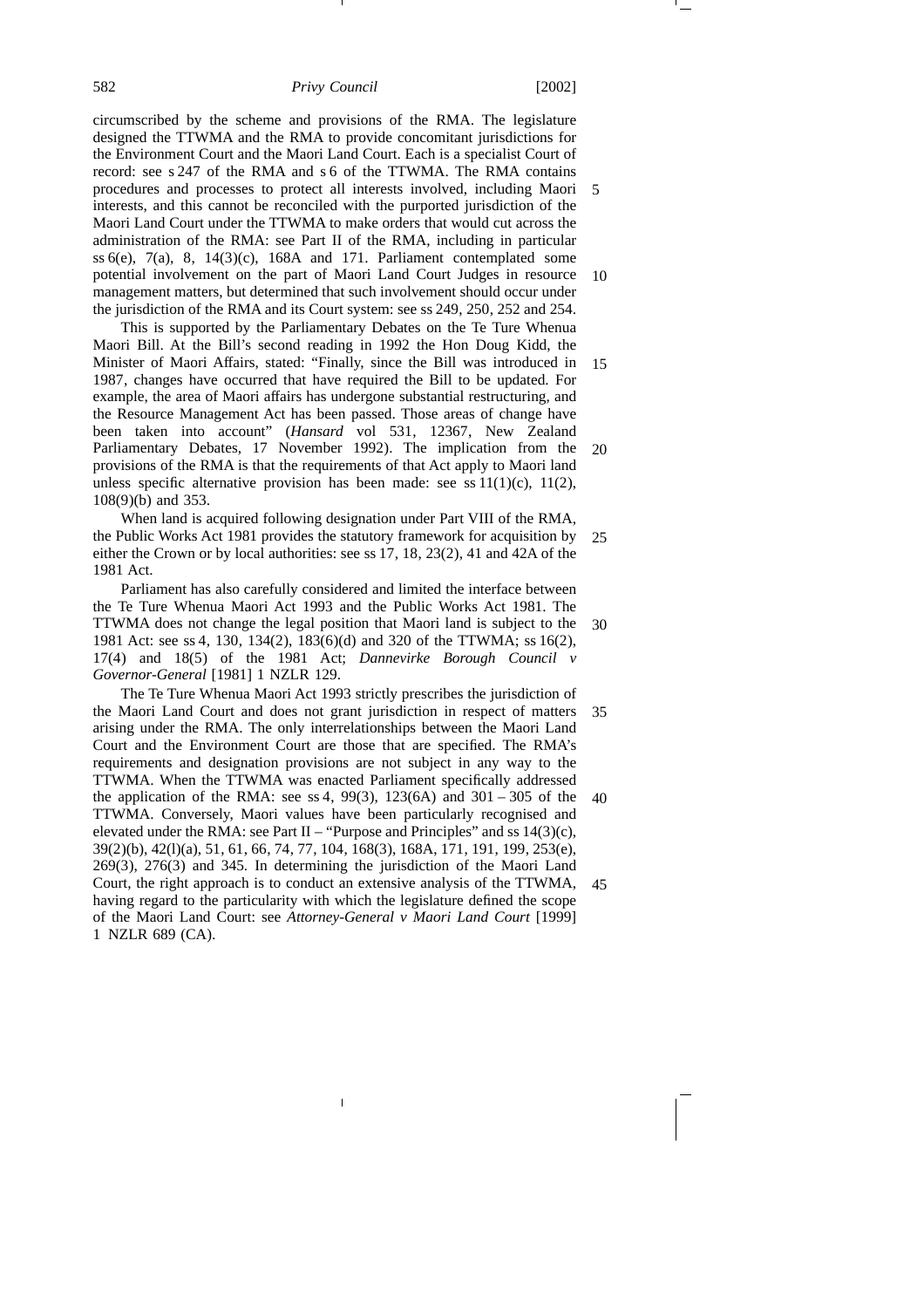circumscribed by the scheme and provisions of the RMA. The legislature designed the TTWMA and the RMA to provide concomitant jurisdictions for the Environment Court and the Maori Land Court. Each is a specialist Court of record: see s 247 of the RMA and s 6 of the TTWMA. The RMA contains procedures and processes to protect all interests involved, including Maori interests, and this cannot be reconciled with the purported jurisdiction of the Maori Land Court under the TTWMA to make orders that would cut across the administration of the RMA: see Part II of the RMA, including in particular ss  $6(e)$ ,  $7(a)$ ,  $8$ ,  $14(3)(c)$ ,  $168A$  and 171. Parliament contemplated some potential involvement on the part of Maori Land Court Judges in resource management matters, but determined that such involvement should occur under the jurisdiction of the RMA and its Court system: see ss 249, 250, 252 and 254. 5 10

This is supported by the Parliamentary Debates on the Te Ture Whenua Maori Bill. At the Bill's second reading in 1992 the Hon Doug Kidd, the Minister of Maori Affairs, stated: "Finally, since the Bill was introduced in 1987, changes have occurred that have required the Bill to be updated. For example, the area of Maori affairs has undergone substantial restructuring, and the Resource Management Act has been passed. Those areas of change have been taken into account" (*Hansard* vol 531, 12367, New Zealand Parliamentary Debates, 17 November 1992). The implication from the provisions of the RMA is that the requirements of that Act apply to Maori land unless specific alternative provision has been made: see ss  $11(1)(c)$ ,  $11(2)$ , 108(9)(b) and 353. 15 20

When land is acquired following designation under Part VIII of the RMA, the Public Works Act 1981 provides the statutory framework for acquisition by either the Crown or by local authorities: see ss 17, 18, 23(2), 41 and 42A of the 1981 Act. 25

Parliament has also carefully considered and limited the interface between the Te Ture Whenua Maori Act 1993 and the Public Works Act 1981. The TTWMA does not change the legal position that Maori land is subject to the 1981 Act: see ss 4, 130, 134(2), 183(6)(d) and 320 of the TTWMA; ss 16(2), 17(4) and 18(5) of the 1981 Act; *Dannevirke Borough Council v Governor-General* [1981] 1 NZLR 129. 30

The Te Ture Whenua Maori Act 1993 strictly prescribes the jurisdiction of the Maori Land Court and does not grant jurisdiction in respect of matters arising under the RMA. The only interrelationships between the Maori Land Court and the Environment Court are those that are specified. The RMA's requirements and designation provisions are not subject in any way to the TTWMA. When the TTWMA was enacted Parliament specifically addressed the application of the RMA: see ss 4, 99(3), 123(6A) and  $301 - 305$  of the TTWMA. Conversely, Maori values have been particularly recognised and elevated under the RMA: see Part II – "Purpose and Principles" and ss  $14(3)(c)$ , 39(2)(b), 42(l)(a), 51, 61, 66, 74, 77, 104, 168(3), 168A, 171, 191, 199, 253(e), 269(3), 276(3) and 345. In determining the jurisdiction of the Maori Land Court, the right approach is to conduct an extensive analysis of the TTWMA, having regard to the particularity with which the legislature defined the scope of the Maori Land Court: see *Attorney-General v Maori Land Court* [1999] 1 NZLR 689 (CA). 35 40 45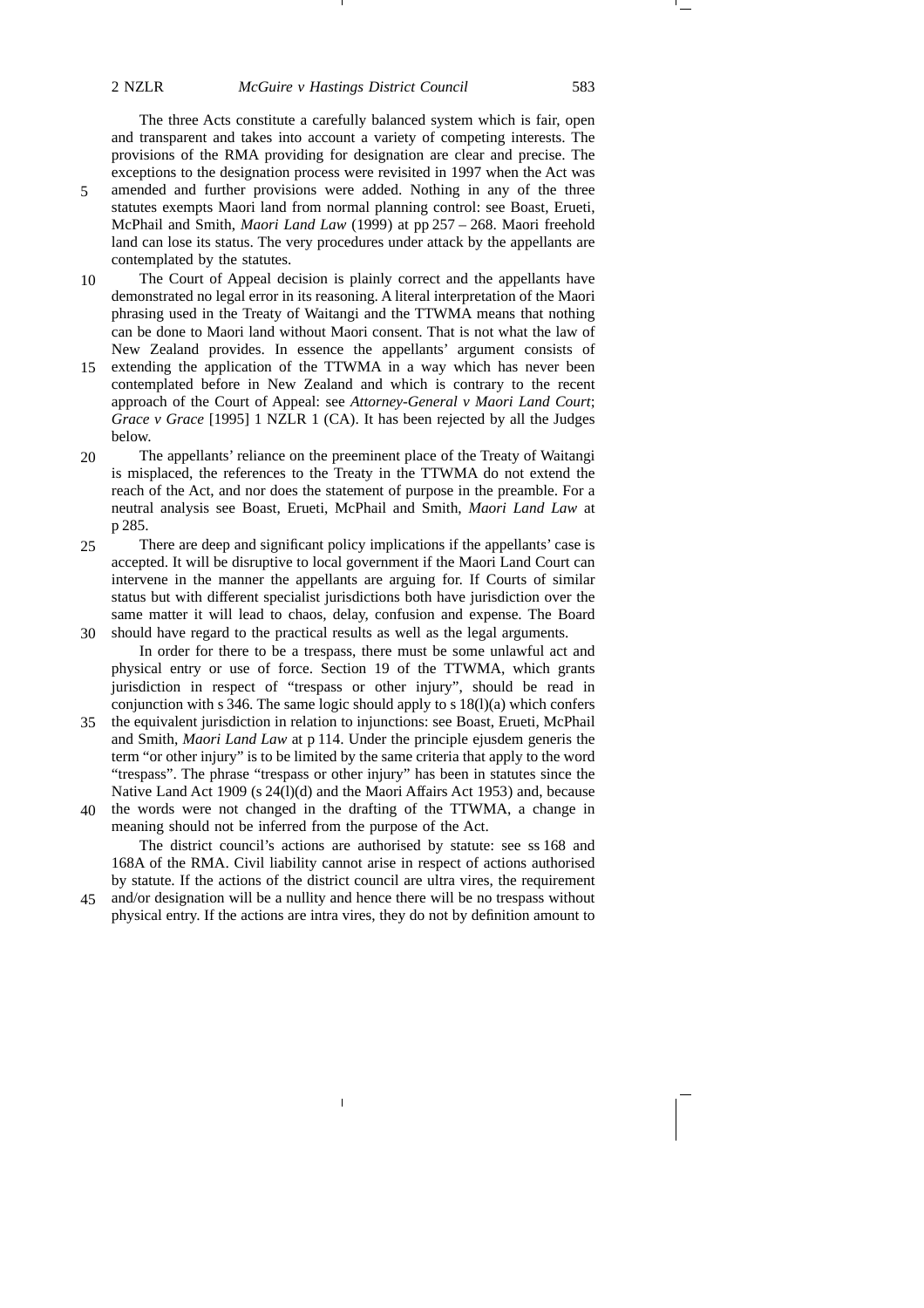The three Acts constitute a carefully balanced system which is fair, open and transparent and takes into account a variety of competing interests. The provisions of the RMA providing for designation are clear and precise. The exceptions to the designation process were revisited in 1997 when the Act was amended and further provisions were added. Nothing in any of the three statutes exempts Maori land from normal planning control: see Boast, Erueti, McPhail and Smith, *Maori Land Law* (1999) at pp 257 – 268. Maori freehold land can lose its status. The very procedures under attack by the appellants are contemplated by the statutes.

- The Court of Appeal decision is plainly correct and the appellants have demonstrated no legal error in its reasoning. A literal interpretation of the Maori phrasing used in the Treaty of Waitangi and the TTWMA means that nothing can be done to Maori land without Maori consent. That is not what the law of New Zealand provides. In essence the appellants' argument consists of 10
- extending the application of the TTWMA in a way which has never been contemplated before in New Zealand and which is contrary to the recent approach of the Court of Appeal: see *Attorney-General v Maori Land Court*; *Grace v Grace* [1995] 1 NZLR 1 (CA). It has been rejected by all the Judges below. 15
- The appellants' reliance on the preeminent place of the Treaty of Waitangi is misplaced, the references to the Treaty in the TTWMA do not extend the reach of the Act, and nor does the statement of purpose in the preamble. For a neutral analysis see Boast, Erueti, McPhail and Smith, *Maori Land Law* at p 285. 20
- There are deep and significant policy implications if the appellants' case is accepted. It will be disruptive to local government if the Maori Land Court can intervene in the manner the appellants are arguing for. If Courts of similar status but with different specialist jurisdictions both have jurisdiction over the same matter it will lead to chaos, delay, confusion and expense. The Board should have regard to the practical results as well as the legal arguments. 30 25

In order for there to be a trespass, there must be some unlawful act and physical entry or use of force. Section 19 of the TTWMA, which grants jurisdiction in respect of "trespass or other injury", should be read in conjunction with s 346. The same logic should apply to s  $18(1)(a)$  which confers

- the equivalent jurisdiction in relation to injunctions: see Boast, Erueti, McPhail 35 and Smith, *Maori Land Law* at p 114. Under the principle ejusdem generis the term "or other injury" is to be limited by the same criteria that apply to the word "trespass". The phrase "trespass or other injury" has been in statutes since the Native Land Act 1909 (s 24(l)(d) and the Maori Affairs Act 1953) and, because
- the words were not changed in the drafting of the TTWMA, a change in meaning should not be inferred from the purpose of the Act. 40

The district council's actions are authorised by statute: see ss 168 and 168A of the RMA. Civil liability cannot arise in respect of actions authorised by statute. If the actions of the district council are ultra vires, the requirement

and/or designation will be a nullity and hence there will be no trespass without physical entry. If the actions are intra vires, they do not by definition amount to 45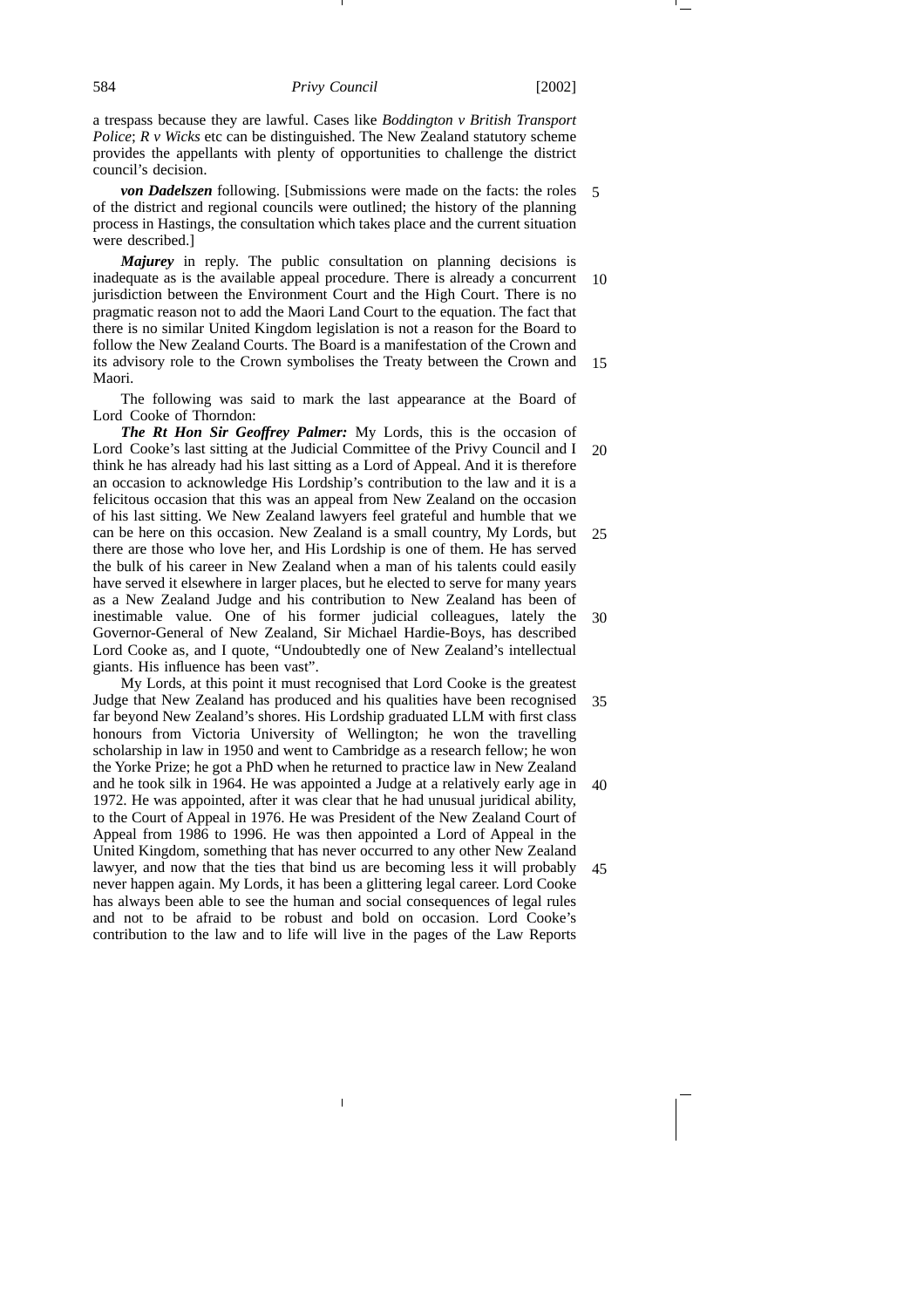a trespass because they are lawful. Cases like *Boddington v British Transport Police*; *R v Wicks* etc can be distinguished. The New Zealand statutory scheme provides the appellants with plenty of opportunities to challenge the district council's decision.

*von Dadelszen* following. [Submissions were made on the facts: the roles 5 of the district and regional councils were outlined; the history of the planning process in Hastings, the consultation which takes place and the current situation were described.]

*Majurey* in reply. The public consultation on planning decisions is inadequate as is the available appeal procedure. There is already a concurrent jurisdiction between the Environment Court and the High Court. There is no pragmatic reason not to add the Maori Land Court to the equation. The fact that there is no similar United Kingdom legislation is not a reason for the Board to follow the New Zealand Courts. The Board is a manifestation of the Crown and its advisory role to the Crown symbolises the Treaty between the Crown and Maori. 10 15

The following was said to mark the last appearance at the Board of Lord Cooke of Thorndon:

*The Rt Hon Sir Geoffrey Palmer:* My Lords, this is the occasion of Lord Cooke's last sitting at the Judicial Committee of the Privy Council and I think he has already had his last sitting as a Lord of Appeal. And it is therefore an occasion to acknowledge His Lordship's contribution to the law and it is a felicitous occasion that this was an appeal from New Zealand on the occasion of his last sitting. We New Zealand lawyers feel grateful and humble that we can be here on this occasion. New Zealand is a small country, My Lords, but there are those who love her, and His Lordship is one of them. He has served the bulk of his career in New Zealand when a man of his talents could easily have served it elsewhere in larger places, but he elected to serve for many years as a New Zealand Judge and his contribution to New Zealand has been of inestimable value. One of his former judicial colleagues, lately the Governor-General of New Zealand, Sir Michael Hardie-Boys, has described Lord Cooke as, and I quote, "Undoubtedly one of New Zealand's intellectual giants. His influence has been vast". 20 25 30

My Lords, at this point it must recognised that Lord Cooke is the greatest Judge that New Zealand has produced and his qualities have been recognised far beyond New Zealand's shores. His Lordship graduated LLM with first class honours from Victoria University of Wellington; he won the travelling scholarship in law in 1950 and went to Cambridge as a research fellow; he won the Yorke Prize; he got a PhD when he returned to practice law in New Zealand and he took silk in 1964. He was appointed a Judge at a relatively early age in 1972. He was appointed, after it was clear that he had unusual juridical ability, to the Court of Appeal in 1976. He was President of the New Zealand Court of Appeal from 1986 to 1996. He was then appointed a Lord of Appeal in the United Kingdom, something that has never occurred to any other New Zealand lawyer, and now that the ties that bind us are becoming less it will probably never happen again. My Lords, it has been a glittering legal career. Lord Cooke has always been able to see the human and social consequences of legal rules and not to be afraid to be robust and bold on occasion. Lord Cooke's contribution to the law and to life will live in the pages of the Law Reports 35 40 45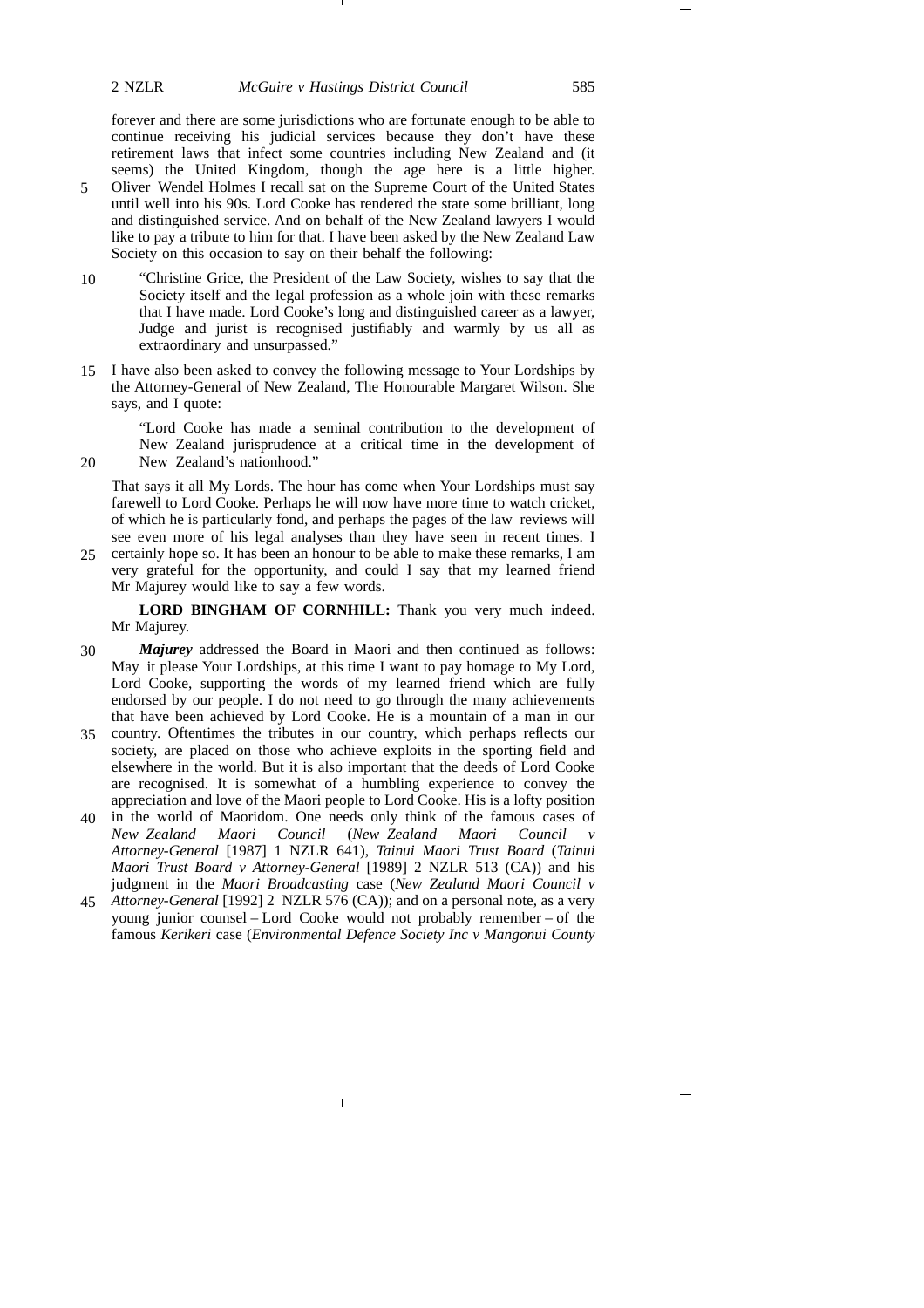## 2 NZLR *McGuire v Hastings District Council* 585

forever and there are some jurisdictions who are fortunate enough to be able to continue receiving his judicial services because they don't have these retirement laws that infect some countries including New Zealand and (it seems) the United Kingdom, though the age here is a little higher.

- Oliver Wendel Holmes I recall sat on the Supreme Court of the United States until well into his 90s. Lord Cooke has rendered the state some brilliant, long and distinguished service. And on behalf of the New Zealand lawyers I would like to pay a tribute to him for that. I have been asked by the New Zealand Law Society on this occasion to say on their behalf the following: 5
- "Christine Grice, the President of the Law Society, wishes to say that the Society itself and the legal profession as a whole join with these remarks that I have made. Lord Cooke's long and distinguished career as a lawyer, Judge and jurist is recognised justifiably and warmly by us all as extraordinary and unsurpassed." 10
- 15 I have also been asked to convey the following message to Your Lordships by the Attorney-General of New Zealand, The Honourable Margaret Wilson. She says, and I quote:

20

"Lord Cooke has made a seminal contribution to the development of New Zealand jurisprudence at a critical time in the development of New Zealand's nationhood."

That says it all My Lords. The hour has come when Your Lordships must say farewell to Lord Cooke. Perhaps he will now have more time to watch cricket, of which he is particularly fond, and perhaps the pages of the law reviews will see even more of his legal analyses than they have seen in recent times. I

certainly hope so. It has been an honour to be able to make these remarks, I am very grateful for the opportunity, and could I say that my learned friend Mr Majurey would like to say a few words. 25

**LORD BINGHAM OF CORNHILL:** Thank you very much indeed. Mr Majurey.

- *Majurey* addressed the Board in Maori and then continued as follows: May it please Your Lordships, at this time I want to pay homage to My Lord, Lord Cooke, supporting the words of my learned friend which are fully endorsed by our people. I do not need to go through the many achievements that have been achieved by Lord Cooke. He is a mountain of a man in our 30
- country. Oftentimes the tributes in our country, which perhaps reflects our 35 society, are placed on those who achieve exploits in the sporting field and elsewhere in the world. But it is also important that the deeds of Lord Cooke are recognised. It is somewhat of a humbling experience to convey the appreciation and love of the Maori people to Lord Cooke. His is a lofty position
- in the world of Maoridom. One needs only think of the famous cases of 40 *New Zealand Maori Council* (*New Zealand Maori Council v Attorney-General* [1987] 1 NZLR 641), *Tainui Maori Trust Board* (*Tainui Maori Trust Board v Attorney-General* [1989] 2 NZLR 513 (CA)) and his judgment in the *Maori Broadcasting* case (*New Zealand Maori Council v*
- *Attorney-General* [1992] 2 NZLR 576 (CA)); and on a personal note, as a very 45young junior counsel – Lord Cooke would not probably remember – of the famous *Kerikeri* case (*Environmental Defence Society Inc v Mangonui County*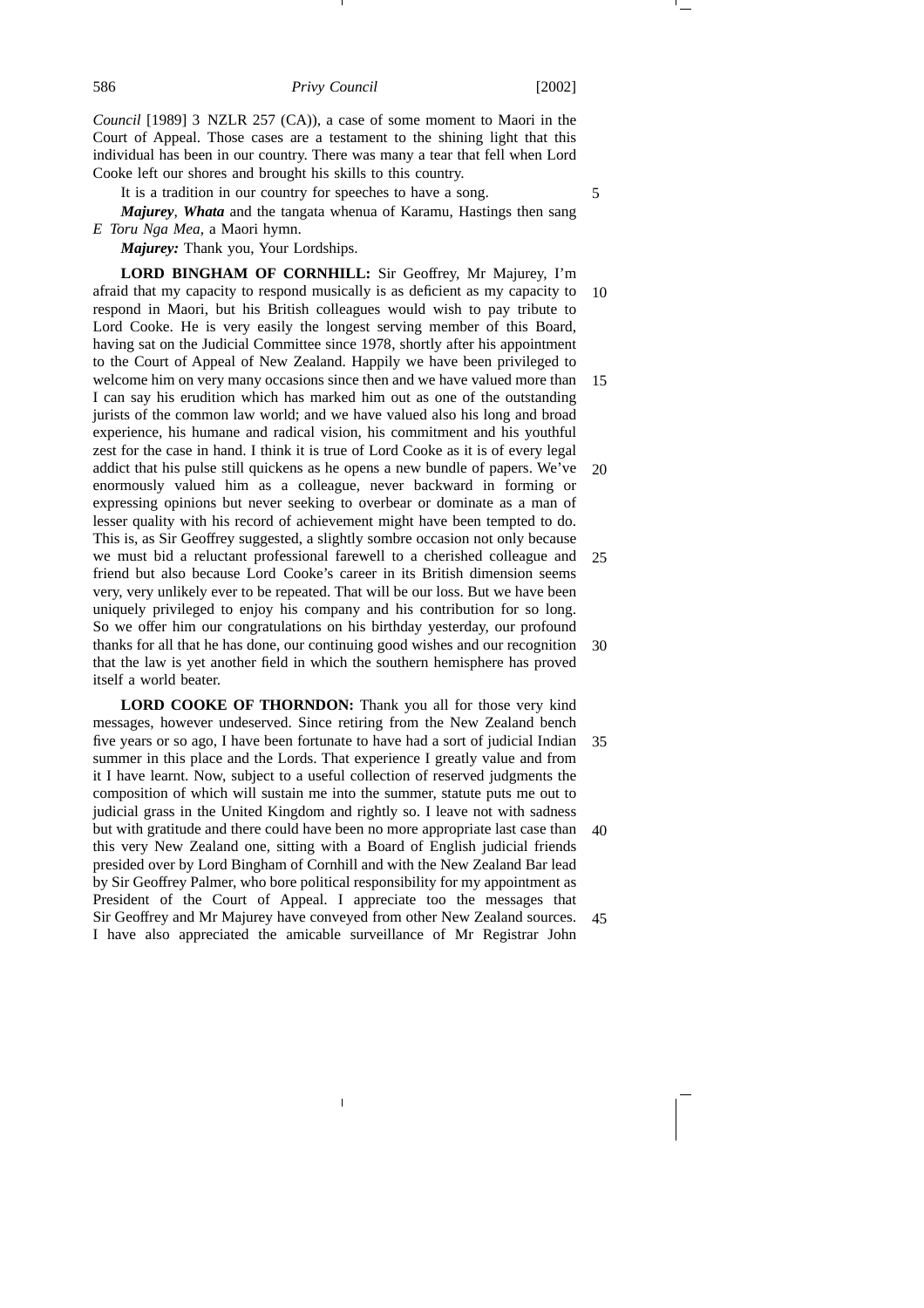*Council* [1989] 3 NZLR 257 (CA)), a case of some moment to Maori in the Court of Appeal. Those cases are a testament to the shining light that this individual has been in our country. There was many a tear that fell when Lord Cooke left our shores and brought his skills to this country.

It is a tradition in our country for speeches to have a song.

*Majurey*, *Whata* and the tangata whenua of Karamu, Hastings then sang *E Toru Nga Mea*, a Maori hymn.

*Majurey:* Thank you, Your Lordships.

**LORD BINGHAM OF CORNHILL:** Sir Geoffrey, Mr Majurey, I'm afraid that my capacity to respond musically is as deficient as my capacity to respond in Maori, but his British colleagues would wish to pay tribute to Lord Cooke. He is very easily the longest serving member of this Board, having sat on the Judicial Committee since 1978, shortly after his appointment to the Court of Appeal of New Zealand. Happily we have been privileged to welcome him on very many occasions since then and we have valued more than I can say his erudition which has marked him out as one of the outstanding jurists of the common law world; and we have valued also his long and broad experience, his humane and radical vision, his commitment and his youthful zest for the case in hand. I think it is true of Lord Cooke as it is of every legal addict that his pulse still quickens as he opens a new bundle of papers. We've enormously valued him as a colleague, never backward in forming or expressing opinions but never seeking to overbear or dominate as a man of lesser quality with his record of achievement might have been tempted to do. This is, as Sir Geoffrey suggested, a slightly sombre occasion not only because we must bid a reluctant professional farewell to a cherished colleague and friend but also because Lord Cooke's career in its British dimension seems very, very unlikely ever to be repeated. That will be our loss. But we have been uniquely privileged to enjoy his company and his contribution for so long. So we offer him our congratulations on his birthday yesterday, our profound thanks for all that he has done, our continuing good wishes and our recognition that the law is yet another field in which the southern hemisphere has proved itself a world beater. 10 15 20 25 30

**LORD COOKE OF THORNDON:** Thank you all for those very kind messages, however undeserved. Since retiring from the New Zealand bench five years or so ago, I have been fortunate to have had a sort of judicial Indian summer in this place and the Lords. That experience I greatly value and from it I have learnt. Now, subject to a useful collection of reserved judgments the composition of which will sustain me into the summer, statute puts me out to judicial grass in the United Kingdom and rightly so. I leave not with sadness but with gratitude and there could have been no more appropriate last case than this very New Zealand one, sitting with a Board of English judicial friends presided over by Lord Bingham of Cornhill and with the New Zealand Bar lead by Sir Geoffrey Palmer, who bore political responsibility for my appointment as President of the Court of Appeal. I appreciate too the messages that Sir Geoffrey and Mr Majurey have conveyed from other New Zealand sources. I have also appreciated the amicable surveillance of Mr Registrar John 35 40 45

5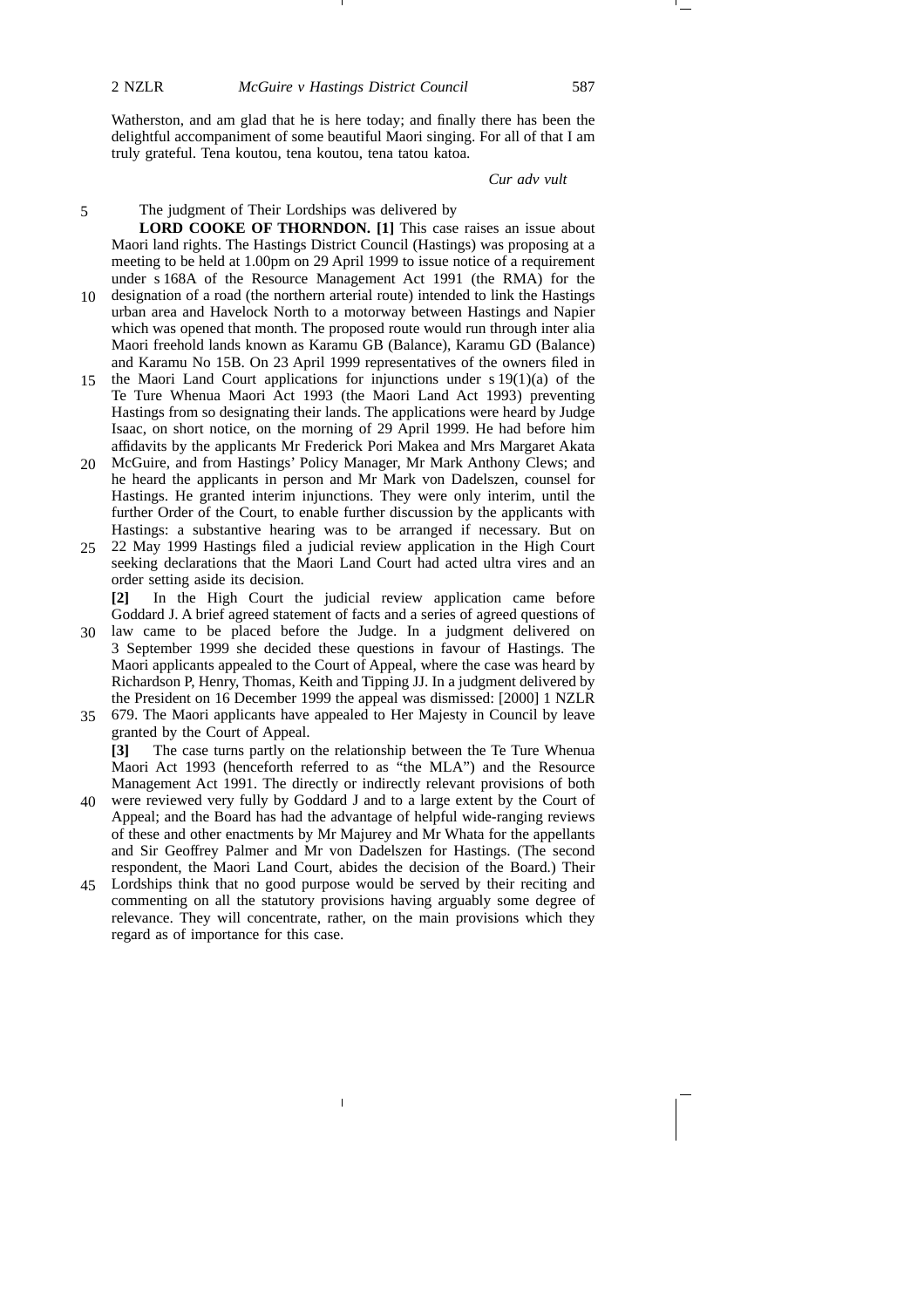Watherston, and am glad that he is here today; and finally there has been the delightful accompaniment of some beautiful Maori singing. For all of that I am truly grateful. Tena koutou, tena koutou, tena tatou katoa.

*Cur adv vult*

## The judgment of Their Lordships was delivered by

**LORD COOKE OF THORNDON. [1]** This case raises an issue about Maori land rights. The Hastings District Council (Hastings) was proposing at a meeting to be held at 1.00pm on 29 April 1999 to issue notice of a requirement under s 168A of the Resource Management Act 1991 (the RMA) for the

- 10 designation of a road (the northern arterial route) intended to link the Hastings urban area and Havelock North to a motorway between Hastings and Napier which was opened that month. The proposed route would run through inter alia Maori freehold lands known as Karamu GB (Balance), Karamu GD (Balance) and Karamu No 15B. On 23 April 1999 representatives of the owners filed in
- 15 the Maori Land Court applications for injunctions under  $s 19(1)(a)$  of the Te Ture Whenua Maori Act 1993 (the Maori Land Act 1993) preventing Hastings from so designating their lands. The applications were heard by Judge Isaac, on short notice, on the morning of 29 April 1999. He had before him affidavits by the applicants Mr Frederick Pori Makea and Mrs Margaret Akata
- McGuire, and from Hastings' Policy Manager, Mr Mark Anthony Clews; and 20 he heard the applicants in person and Mr Mark von Dadelszen, counsel for Hastings. He granted interim injunctions. They were only interim, until the further Order of the Court, to enable further discussion by the applicants with Hastings: a substantive hearing was to be arranged if necessary. But on
- 22 May 1999 Hastings filed a judicial review application in the High Court 25 seeking declarations that the Maori Land Court had acted ultra vires and an order setting aside its decision.

**[2]** In the High Court the judicial review application came before Goddard J. A brief agreed statement of facts and a series of agreed questions of

- law came to be placed before the Judge. In a judgment delivered on 30 3 September 1999 she decided these questions in favour of Hastings. The Maori applicants appealed to the Court of Appeal, where the case was heard by Richardson P, Henry, Thomas, Keith and Tipping JJ. In a judgment delivered by the President on 16 December 1999 the appeal was dismissed: [2000] 1 NZLR
- 679. The Maori applicants have appealed to Her Majesty in Council by leave 35 granted by the Court of Appeal. **[3]** The case turns partly on the relationship between the Te Ture Whenua

Maori Act 1993 (henceforth referred to as "the MLA") and the Resource Management Act 1991. The directly or indirectly relevant provisions of both

- were reviewed very fully by Goddard J and to a large extent by the Court of 40 Appeal; and the Board has had the advantage of helpful wide-ranging reviews of these and other enactments by Mr Majurey and Mr Whata for the appellants and Sir Geoffrey Palmer and Mr von Dadelszen for Hastings. (The second respondent, the Maori Land Court, abides the decision of the Board.) Their
- Lordships think that no good purpose would be served by their reciting and 45commenting on all the statutory provisions having arguably some degree of relevance. They will concentrate, rather, on the main provisions which they regard as of importance for this case.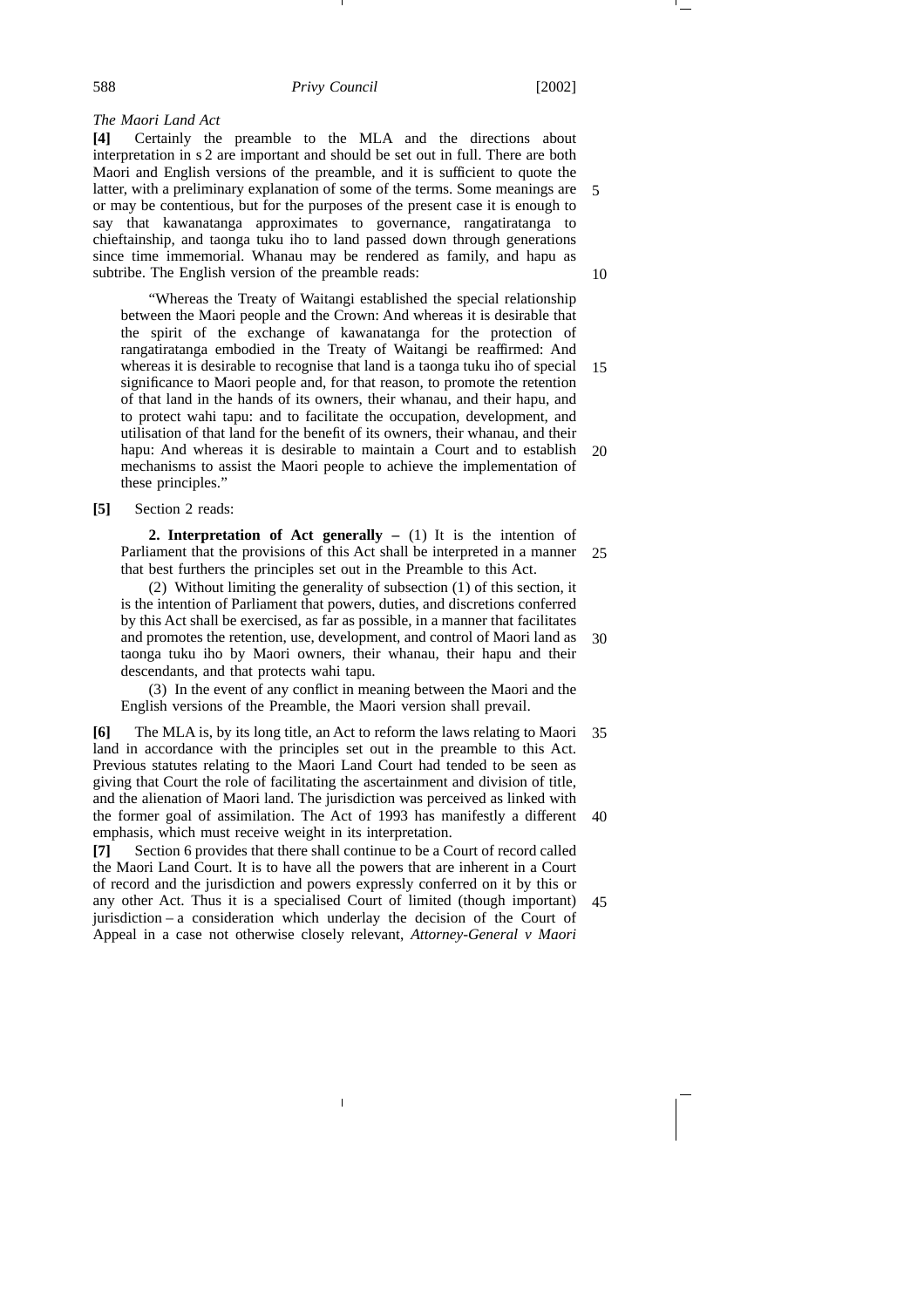*The Maori Land Act*

**[4]** Certainly the preamble to the MLA and the directions about interpretation in s 2 are important and should be set out in full. There are both Maori and English versions of the preamble, and it is sufficient to quote the latter, with a preliminary explanation of some of the terms. Some meanings are or may be contentious, but for the purposes of the present case it is enough to say that kawanatanga approximates to governance, rangatiratanga to chieftainship, and taonga tuku iho to land passed down through generations since time immemorial. Whanau may be rendered as family, and hapu as subtribe. The English version of the preamble reads: 5 10

"Whereas the Treaty of Waitangi established the special relationship between the Maori people and the Crown: And whereas it is desirable that the spirit of the exchange of kawanatanga for the protection of rangatiratanga embodied in the Treaty of Waitangi be reaffirmed: And whereas it is desirable to recognise that land is a taonga tuku iho of special significance to Maori people and, for that reason, to promote the retention of that land in the hands of its owners, their whanau, and their hapu, and to protect wahi tapu: and to facilitate the occupation, development, and utilisation of that land for the benefit of its owners, their whanau, and their hapu: And whereas it is desirable to maintain a Court and to establish mechanisms to assist the Maori people to achieve the implementation of these principles." 15 20

**[5]** Section 2 reads:

**2. Interpretation of Act generally –** (1) It is the intention of Parliament that the provisions of this Act shall be interpreted in a manner that best furthers the principles set out in the Preamble to this Act. 25

(2) Without limiting the generality of subsection (1) of this section, it is the intention of Parliament that powers, duties, and discretions conferred by this Act shall be exercised, as far as possible, in a manner that facilitates and promotes the retention, use, development, and control of Maori land as taonga tuku iho by Maori owners, their whanau, their hapu and their descendants, and that protects wahi tapu. 30

(3) In the event of any conflict in meaning between the Maori and the English versions of the Preamble, the Maori version shall prevail.

**[6]** The MLA is, by its long title, an Act to reform the laws relating to Maori land in accordance with the principles set out in the preamble to this Act. Previous statutes relating to the Maori Land Court had tended to be seen as giving that Court the role of facilitating the ascertainment and division of title, and the alienation of Maori land. The jurisdiction was perceived as linked with the former goal of assimilation. The Act of 1993 has manifestly a different 40 emphasis, which must receive weight in its interpretation. 35

**[7]** Section 6 provides that there shall continue to be a Court of record called the Maori Land Court. It is to have all the powers that are inherent in a Court of record and the jurisdiction and powers expressly conferred on it by this or any other Act. Thus it is a specialised Court of limited (though important) 45jurisdiction – a consideration which underlay the decision of the Court of Appeal in a case not otherwise closely relevant, *Attorney-General v Maori*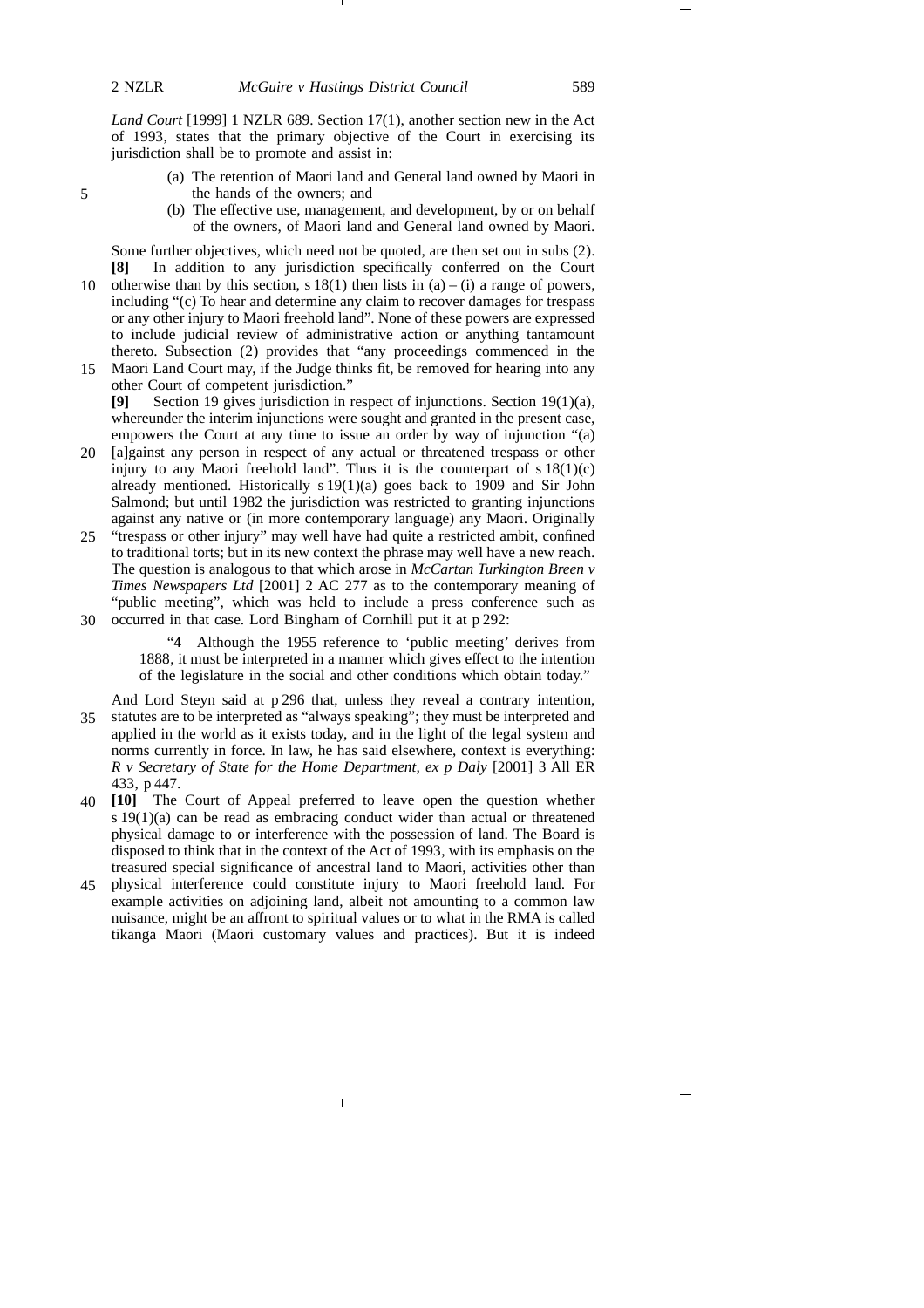*Land Court* [1999] 1 NZLR 689. Section 17(1), another section new in the Act of 1993, states that the primary objective of the Court in exercising its jurisdiction shall be to promote and assist in:

- (a) The retention of Maori land and General land owned by Maori in the hands of the owners; and
- (b) The effective use, management, and development, by or on behalf of the owners, of Maori land and General land owned by Maori.

Some further objectives, which need not be quoted, are then set out in subs (2). **[8]** In addition to any jurisdiction specifically conferred on the Court

- 10 otherwise than by this section, s  $18(1)$  then lists in  $(a) (i)$  a range of powers, including "(c) To hear and determine any claim to recover damages for trespass or any other injury to Maori freehold land". None of these powers are expressed to include judicial review of administrative action or anything tantamount thereto. Subsection (2) provides that "any proceedings commenced in the Maori Land Court may, if the Judge thinks fit, be removed for hearing into any
- other Court of competent jurisdiction." **[9]** Section 19 gives jurisdiction in respect of injunctions. Section 19(1)(a), whereunder the interim injunctions were sought and granted in the present case, 15
- empowers the Court at any time to issue an order by way of injunction "(a) 20 [a]gainst any person in respect of any actual or threatened trespass or other injury to any Maori freehold land". Thus it is the counterpart of  $s 18(1)(c)$ already mentioned. Historically s 19(1)(a) goes back to 1909 and Sir John Salmond; but until 1982 the jurisdiction was restricted to granting injunctions against any native or (in more contemporary language) any Maori. Originally
- 25 "trespass or other injury" may well have had quite a restricted ambit, confined to traditional torts; but in its new context the phrase may well have a new reach. The question is analogous to that which arose in *McCartan Turkington Breen v Times Newspapers Ltd* [2001] 2 AC 277 as to the contemporary meaning of "public meeting", which was held to include a press conference such as
- occurred in that case. Lord Bingham of Cornhill put it at p 292: 30

"**4** Although the 1955 reference to 'public meeting' derives from 1888, it must be interpreted in a manner which gives effect to the intention of the legislature in the social and other conditions which obtain today."

And Lord Steyn said at p 296 that, unless they reveal a contrary intention, 35 statutes are to be interpreted as "always speaking"; they must be interpreted and applied in the world as it exists today, and in the light of the legal system and norms currently in force. In law, he has said elsewhere, context is everything: *R v Secretary of State for the Home Department, ex p Daly* [2001] 3 All ER 433, p 447.

- **[10]** The Court of Appeal preferred to leave open the question whether 40 s 19(1)(a) can be read as embracing conduct wider than actual or threatened physical damage to or interference with the possession of land. The Board is disposed to think that in the context of the Act of 1993, with its emphasis on the treasured special significance of ancestral land to Maori, activities other than
- physical interference could constitute injury to Maori freehold land. For 45example activities on adjoining land, albeit not amounting to a common law nuisance, might be an affront to spiritual values or to what in the RMA is called tikanga Maori (Maori customary values and practices). But it is indeed

5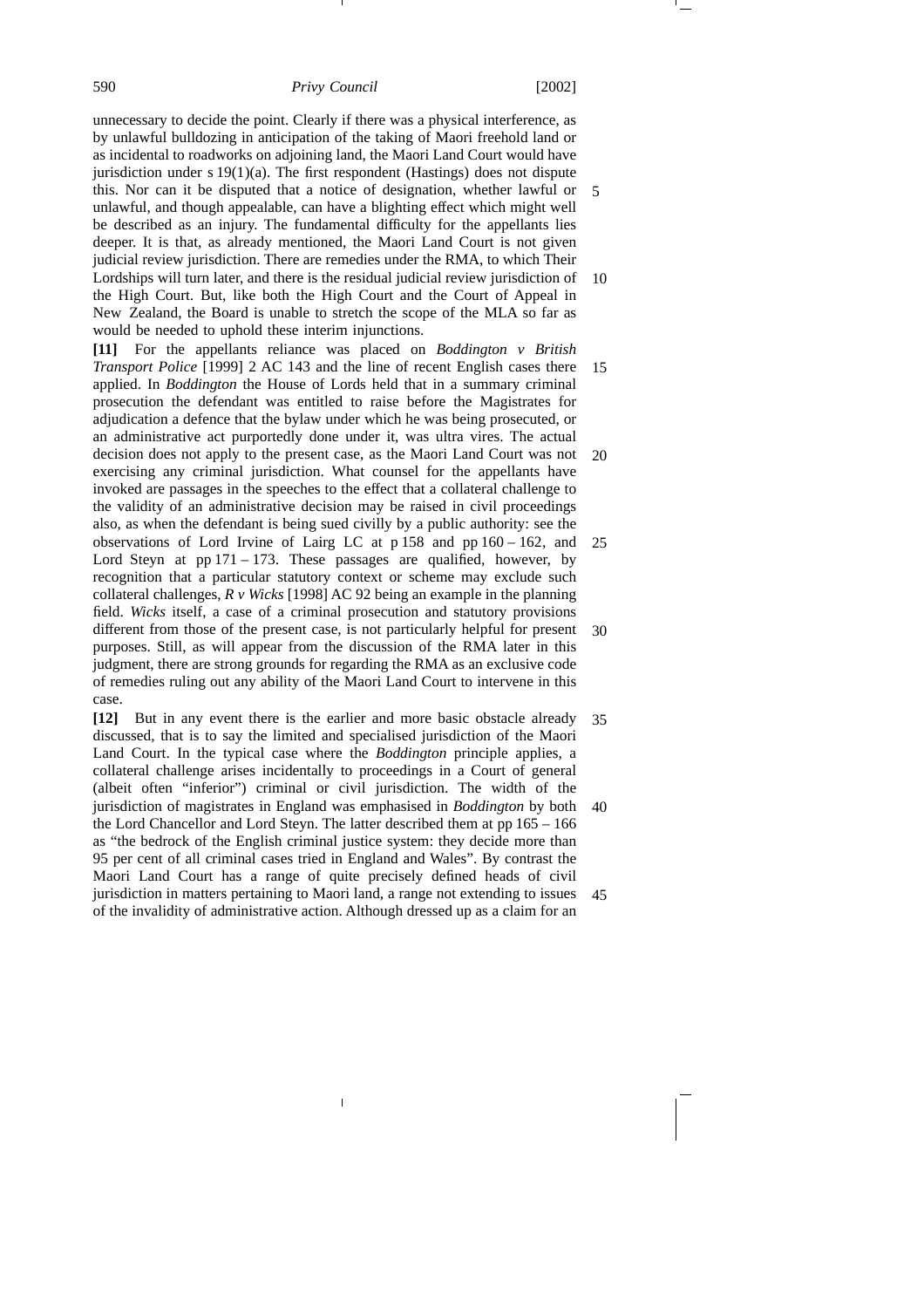unnecessary to decide the point. Clearly if there was a physical interference, as by unlawful bulldozing in anticipation of the taking of Maori freehold land or as incidental to roadworks on adjoining land, the Maori Land Court would have jurisdiction under s  $19(1)(a)$ . The first respondent (Hastings) does not dispute this. Nor can it be disputed that a notice of designation, whether lawful or 5 unlawful, and though appealable, can have a blighting effect which might well be described as an injury. The fundamental difficulty for the appellants lies deeper. It is that, as already mentioned, the Maori Land Court is not given judicial review jurisdiction. There are remedies under the RMA, to which Their Lordships will turn later, and there is the residual judicial review jurisdiction of the High Court. But, like both the High Court and the Court of Appeal in New Zealand, the Board is unable to stretch the scope of the MLA so far as would be needed to uphold these interim injunctions. 10

**[11]** For the appellants reliance was placed on *Boddington v British Transport Police* [1999] 2 AC 143 and the line of recent English cases there applied. In *Boddington* the House of Lords held that in a summary criminal prosecution the defendant was entitled to raise before the Magistrates for adjudication a defence that the bylaw under which he was being prosecuted, or an administrative act purportedly done under it, was ultra vires. The actual decision does not apply to the present case, as the Maori Land Court was not exercising any criminal jurisdiction. What counsel for the appellants have invoked are passages in the speeches to the effect that a collateral challenge to the validity of an administrative decision may be raised in civil proceedings also, as when the defendant is being sued civilly by a public authority: see the observations of Lord Irvine of Lairg LC at p 158 and pp 160 – 162, and Lord Steyn at  $pp 171 - 173$ . These passages are qualified, however, by recognition that a particular statutory context or scheme may exclude such collateral challenges, *R v Wicks* [1998] AC 92 being an example in the planning field. *Wicks* itself, a case of a criminal prosecution and statutory provisions different from those of the present case, is not particularly helpful for present purposes. Still, as will appear from the discussion of the RMA later in this judgment, there are strong grounds for regarding the RMA as an exclusive code of remedies ruling out any ability of the Maori Land Court to intervene in this case. 15 20 25 30

**[12]** But in any event there is the earlier and more basic obstacle already discussed, that is to say the limited and specialised jurisdiction of the Maori Land Court. In the typical case where the *Boddington* principle applies, a collateral challenge arises incidentally to proceedings in a Court of general (albeit often "inferior") criminal or civil jurisdiction. The width of the jurisdiction of magistrates in England was emphasised in *Boddington* by both the Lord Chancellor and Lord Steyn. The latter described them at pp 165 – 166 as "the bedrock of the English criminal justice system: they decide more than 95 per cent of all criminal cases tried in England and Wales". By contrast the Maori Land Court has a range of quite precisely defined heads of civil jurisdiction in matters pertaining to Maori land, a range not extending to issues of the invalidity of administrative action. Although dressed up as a claim for an 35 40 45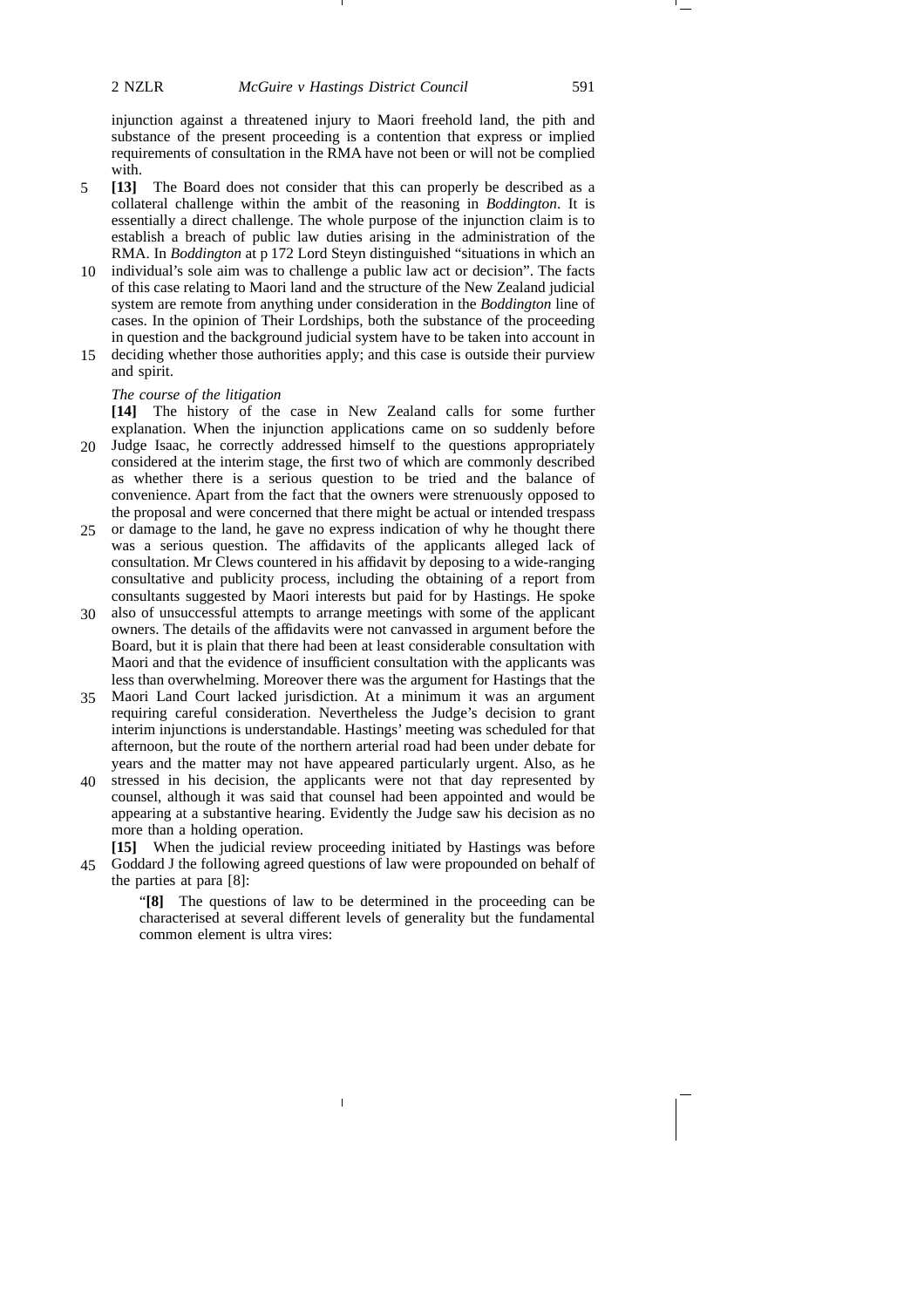injunction against a threatened injury to Maori freehold land, the pith and substance of the present proceeding is a contention that express or implied requirements of consultation in the RMA have not been or will not be complied with.

- **[13]** The Board does not consider that this can properly be described as a collateral challenge within the ambit of the reasoning in *Boddington*. It is essentially a direct challenge. The whole purpose of the injunction claim is to establish a breach of public law duties arising in the administration of the RMA. In *Boddington* at p 172 Lord Steyn distinguished "situations in which an 5
- individual's sole aim was to challenge a public law act or decision". The facts 10 of this case relating to Maori land and the structure of the New Zealand judicial system are remote from anything under consideration in the *Boddington* line of cases. In the opinion of Their Lordships, both the substance of the proceeding in question and the background judicial system have to be taken into account in
- deciding whether those authorities apply; and this case is outside their purview and spirit. 15

### *The course of the litigation*

**[14]** The history of the case in New Zealand calls for some further explanation. When the injunction applications came on so suddenly before Judge Isaac, he correctly addressed himself to the questions appropriately considered at the interim stage, the first two of which are commonly described as whether there is a serious question to be tried and the balance of 20

- convenience. Apart from the fact that the owners were strenuously opposed to the proposal and were concerned that there might be actual or intended trespass or damage to the land, he gave no express indication of why he thought there 25
- was a serious question. The affidavits of the applicants alleged lack of consultation. Mr Clews countered in his affidavit by deposing to a wide-ranging consultative and publicity process, including the obtaining of a report from consultants suggested by Maori interests but paid for by Hastings. He spoke
- also of unsuccessful attempts to arrange meetings with some of the applicant owners. The details of the affidavits were not canvassed in argument before the Board, but it is plain that there had been at least considerable consultation with Maori and that the evidence of insufficient consultation with the applicants was less than overwhelming. Moreover there was the argument for Hastings that the 30
- Maori Land Court lacked jurisdiction. At a minimum it was an argument requiring careful consideration. Nevertheless the Judge's decision to grant interim injunctions is understandable. Hastings' meeting was scheduled for that afternoon, but the route of the northern arterial road had been under debate for years and the matter may not have appeared particularly urgent. Also, as he 35
- stressed in his decision, the applicants were not that day represented by counsel, although it was said that counsel had been appointed and would be appearing at a substantive hearing. Evidently the Judge saw his decision as no more than a holding operation. 40

**[15]** When the judicial review proceeding initiated by Hastings was before Goddard J the following agreed questions of law were propounded on behalf of 45the parties at para [8]:

> "**[8]** The questions of law to be determined in the proceeding can be characterised at several different levels of generality but the fundamental common element is ultra vires: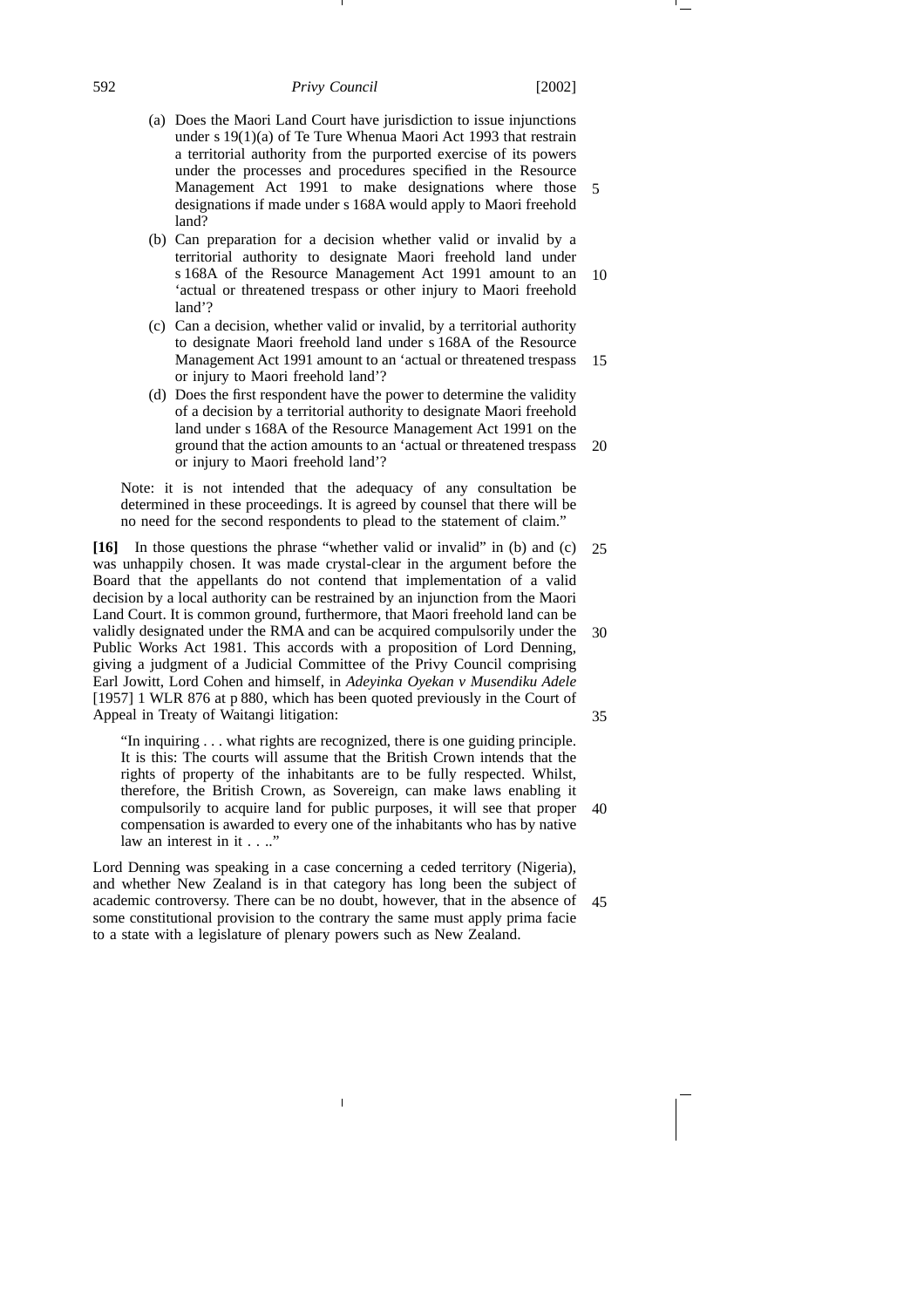### 592 *Privy Council* [2002]

- (a) Does the Maori Land Court have jurisdiction to issue injunctions under s 19(1)(a) of Te Ture Whenua Maori Act 1993 that restrain a territorial authority from the purported exercise of its powers under the processes and procedures specified in the Resource Management Act 1991 to make designations where those 5 designations if made under s 168A would apply to Maori freehold land?
- (b) Can preparation for a decision whether valid or invalid by a territorial authority to designate Maori freehold land under s 168A of the Resource Management Act 1991 amount to an 'actual or threatened trespass or other injury to Maori freehold land'? 10
- (c) Can a decision, whether valid or invalid, by a territorial authority to designate Maori freehold land under s 168A of the Resource Management Act 1991 amount to an 'actual or threatened trespass or injury to Maori freehold land'? 15
- (d) Does the first respondent have the power to determine the validity of a decision by a territorial authority to designate Maori freehold land under s 168A of the Resource Management Act 1991 on the ground that the action amounts to an 'actual or threatened trespass or injury to Maori freehold land'? 20

Note: it is not intended that the adequacy of any consultation be determined in these proceedings. It is agreed by counsel that there will be no need for the second respondents to plead to the statement of claim."

**[16]** In those questions the phrase "whether valid or invalid" in (b) and (c) was unhappily chosen. It was made crystal-clear in the argument before the Board that the appellants do not contend that implementation of a valid decision by a local authority can be restrained by an injunction from the Maori Land Court. It is common ground, furthermore, that Maori freehold land can be validly designated under the RMA and can be acquired compulsorily under the Public Works Act 1981. This accords with a proposition of Lord Denning, giving a judgment of a Judicial Committee of the Privy Council comprising Earl Jowitt, Lord Cohen and himself, in *Adeyinka Oyekan v Musendiku Adele* [1957] 1 WLR 876 at p 880, which has been quoted previously in the Court of Appeal in Treaty of Waitangi litigation: 25 30 35

"In inquiring . . . what rights are recognized, there is one guiding principle. It is this: The courts will assume that the British Crown intends that the rights of property of the inhabitants are to be fully respected. Whilst, therefore, the British Crown, as Sovereign, can make laws enabling it compulsorily to acquire land for public purposes, it will see that proper compensation is awarded to every one of the inhabitants who has by native law an interest in it . . .." 40

Lord Denning was speaking in a case concerning a ceded territory (Nigeria), and whether New Zealand is in that category has long been the subject of academic controversy. There can be no doubt, however, that in the absence of 45some constitutional provision to the contrary the same must apply prima facie to a state with a legislature of plenary powers such as New Zealand.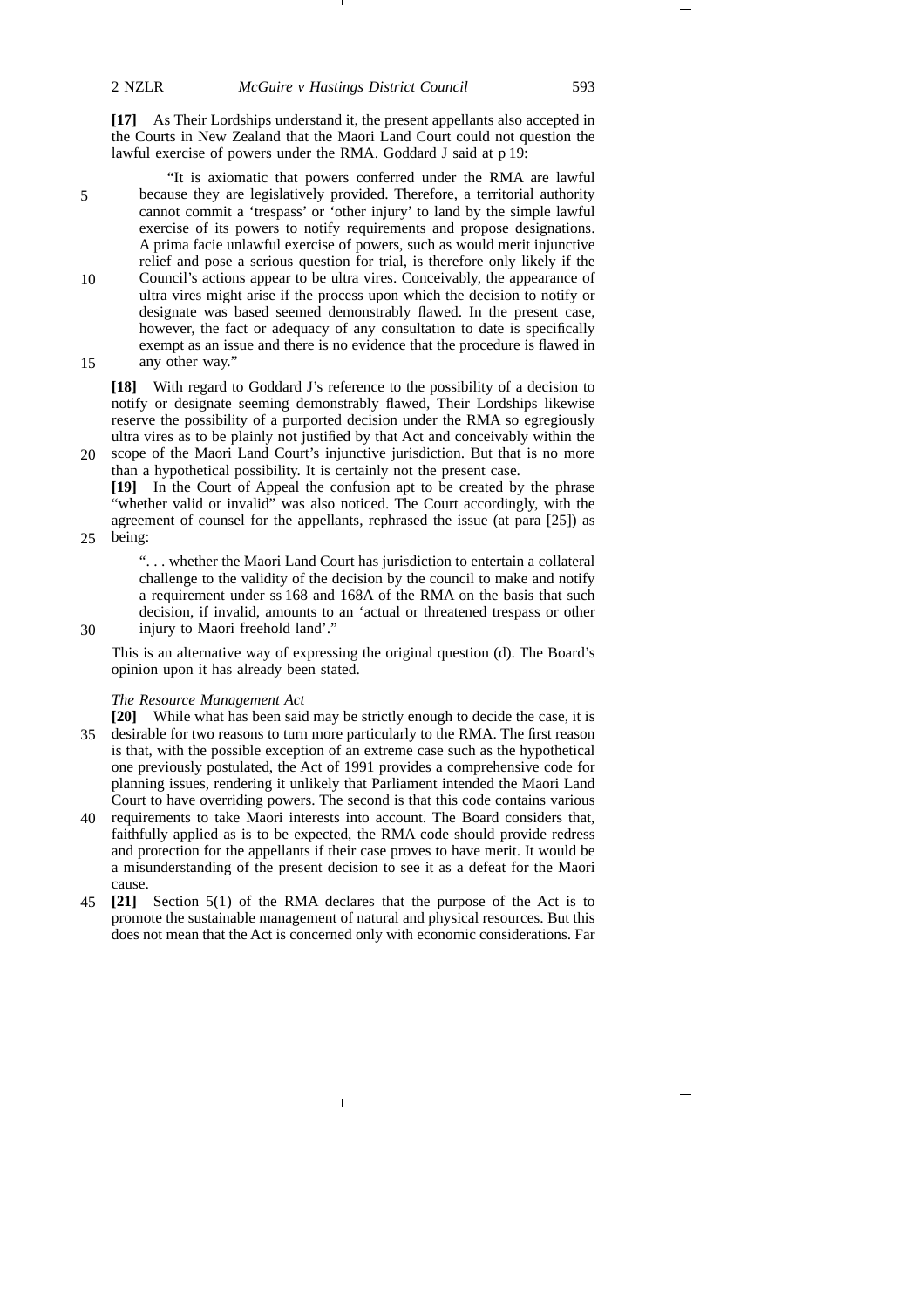**[17]** As Their Lordships understand it, the present appellants also accepted in the Courts in New Zealand that the Maori Land Court could not question the lawful exercise of powers under the RMA. Goddard J said at p 19:

"It is axiomatic that powers conferred under the RMA are lawful because they are legislatively provided. Therefore, a territorial authority cannot commit a 'trespass' or 'other injury' to land by the simple lawful exercise of its powers to notify requirements and propose designations. A prima facie unlawful exercise of powers, such as would merit injunctive relief and pose a serious question for trial, is therefore only likely if the Council's actions appear to be ultra vires. Conceivably, the appearance of ultra vires might arise if the process upon which the decision to notify or designate was based seemed demonstrably flawed. In the present case, however, the fact or adequacy of any consultation to date is specifically exempt as an issue and there is no evidence that the procedure is flawed in any other way." 10 15

**[18]** With regard to Goddard J's reference to the possibility of a decision to notify or designate seeming demonstrably flawed, Their Lordships likewise reserve the possibility of a purported decision under the RMA so egregiously ultra vires as to be plainly not justified by that Act and conceivably within the scope of the Maori Land Court's injunctive jurisdiction. But that is no more

than a hypothetical possibility. It is certainly not the present case. **[19]** In the Court of Appeal the confusion apt to be created by the phrase "whether valid or invalid" was also noticed. The Court accordingly, with the agreement of counsel for the appellants, rephrased the issue (at para [25]) as

being: 25

20

30

". . . whether the Maori Land Court has jurisdiction to entertain a collateral challenge to the validity of the decision by the council to make and notify a requirement under ss 168 and 168A of the RMA on the basis that such decision, if invalid, amounts to an 'actual or threatened trespass or other injury to Maori freehold land'."

This is an alternative way of expressing the original question (d). The Board's opinion upon it has already been stated.

### *The Resource Management Act*

**[20]** While what has been said may be strictly enough to decide the case, it is desirable for two reasons to turn more particularly to the RMA. The first reason 35 is that, with the possible exception of an extreme case such as the hypothetical one previously postulated, the Act of 1991 provides a comprehensive code for planning issues, rendering it unlikely that Parliament intended the Maori Land Court to have overriding powers. The second is that this code contains various

- 40 requirements to take Maori interests into account. The Board considers that, faithfully applied as is to be expected, the RMA code should provide redress and protection for the appellants if their case proves to have merit. It would be a misunderstanding of the present decision to see it as a defeat for the Maori cause.
- **[21]** Section 5(1) of the RMA declares that the purpose of the Act is to 45promote the sustainable management of natural and physical resources. But this does not mean that the Act is concerned only with economic considerations. Far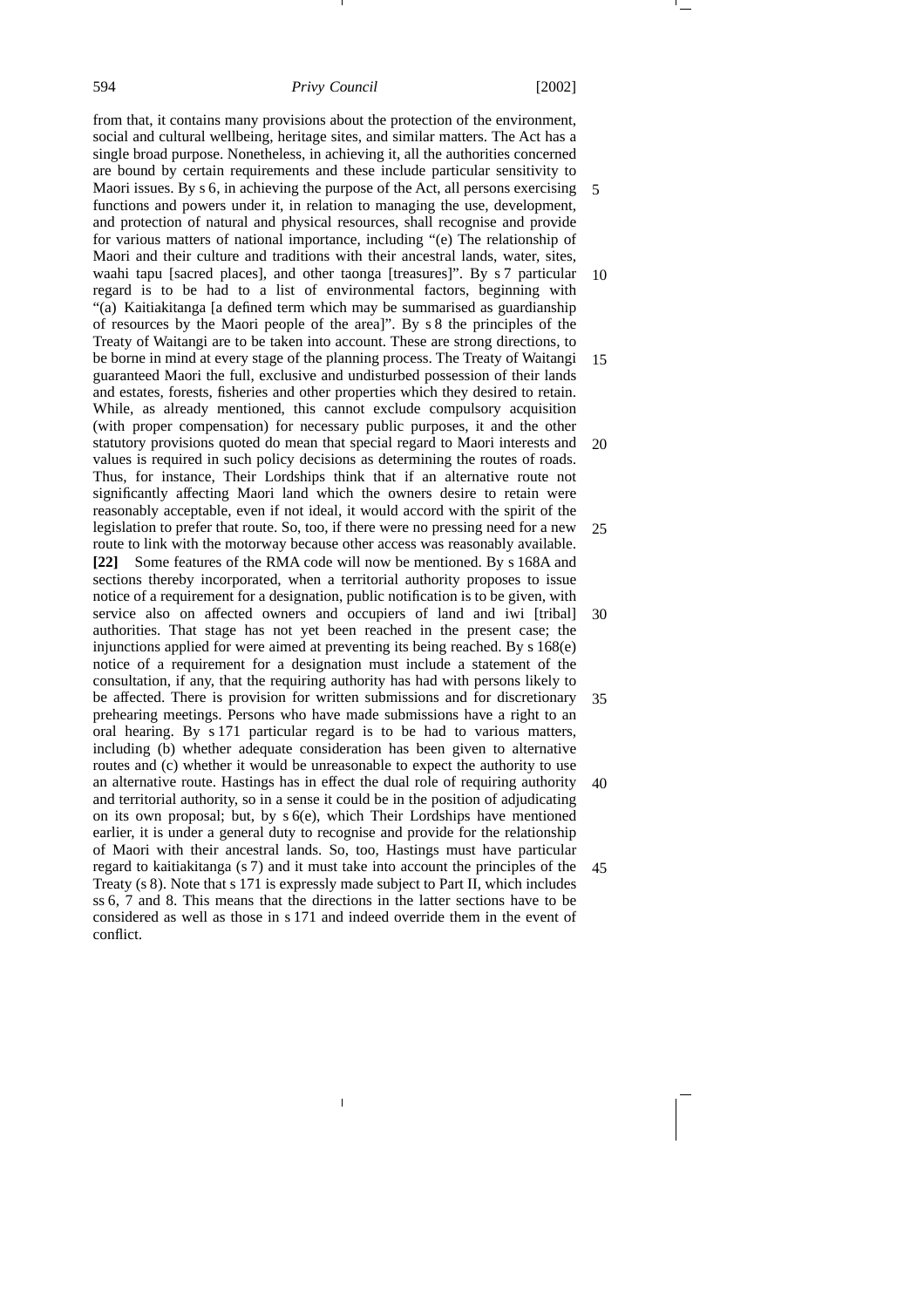from that, it contains many provisions about the protection of the environment, social and cultural wellbeing, heritage sites, and similar matters. The Act has a single broad purpose. Nonetheless, in achieving it, all the authorities concerned are bound by certain requirements and these include particular sensitivity to Maori issues. By s 6, in achieving the purpose of the Act, all persons exercising functions and powers under it, in relation to managing the use, development, and protection of natural and physical resources, shall recognise and provide for various matters of national importance, including "(e) The relationship of Maori and their culture and traditions with their ancestral lands, water, sites, waahi tapu [sacred places], and other taonga [treasures]". By s 7 particular regard is to be had to a list of environmental factors, beginning with "(a) Kaitiakitanga [a defined term which may be summarised as guardianship of resources by the Maori people of the area]". By s 8 the principles of the Treaty of Waitangi are to be taken into account. These are strong directions, to be borne in mind at every stage of the planning process. The Treaty of Waitangi guaranteed Maori the full, exclusive and undisturbed possession of their lands and estates, forests, fisheries and other properties which they desired to retain. While, as already mentioned, this cannot exclude compulsory acquisition (with proper compensation) for necessary public purposes, it and the other statutory provisions quoted do mean that special regard to Maori interests and values is required in such policy decisions as determining the routes of roads. Thus, for instance, Their Lordships think that if an alternative route not significantly affecting Maori land which the owners desire to retain were reasonably acceptable, even if not ideal, it would accord with the spirit of the legislation to prefer that route. So, too, if there were no pressing need for a new route to link with the motorway because other access was reasonably available. **[22]** Some features of the RMA code will now be mentioned. By s 168A and sections thereby incorporated, when a territorial authority proposes to issue notice of a requirement for a designation, public notification is to be given, with service also on affected owners and occupiers of land and iwi [tribal] authorities. That stage has not yet been reached in the present case; the injunctions applied for were aimed at preventing its being reached. By s 168(e) notice of a requirement for a designation must include a statement of the consultation, if any, that the requiring authority has had with persons likely to be affected. There is provision for written submissions and for discretionary prehearing meetings. Persons who have made submissions have a right to an oral hearing. By s 171 particular regard is to be had to various matters, including (b) whether adequate consideration has been given to alternative routes and (c) whether it would be unreasonable to expect the authority to use an alternative route. Hastings has in effect the dual role of requiring authority and territorial authority, so in a sense it could be in the position of adjudicating on its own proposal; but, by s 6(e), which Their Lordships have mentioned earlier, it is under a general duty to recognise and provide for the relationship of Maori with their ancestral lands. So, too, Hastings must have particular regard to kaitiakitanga (s 7) and it must take into account the principles of the Treaty (s 8). Note that s 171 is expressly made subject to Part II, which includes ss 6, 7 and 8. This means that the directions in the latter sections have to be considered as well as those in s 171 and indeed override them in the event of conflict. 5 10 15 20 25 30 35 40 45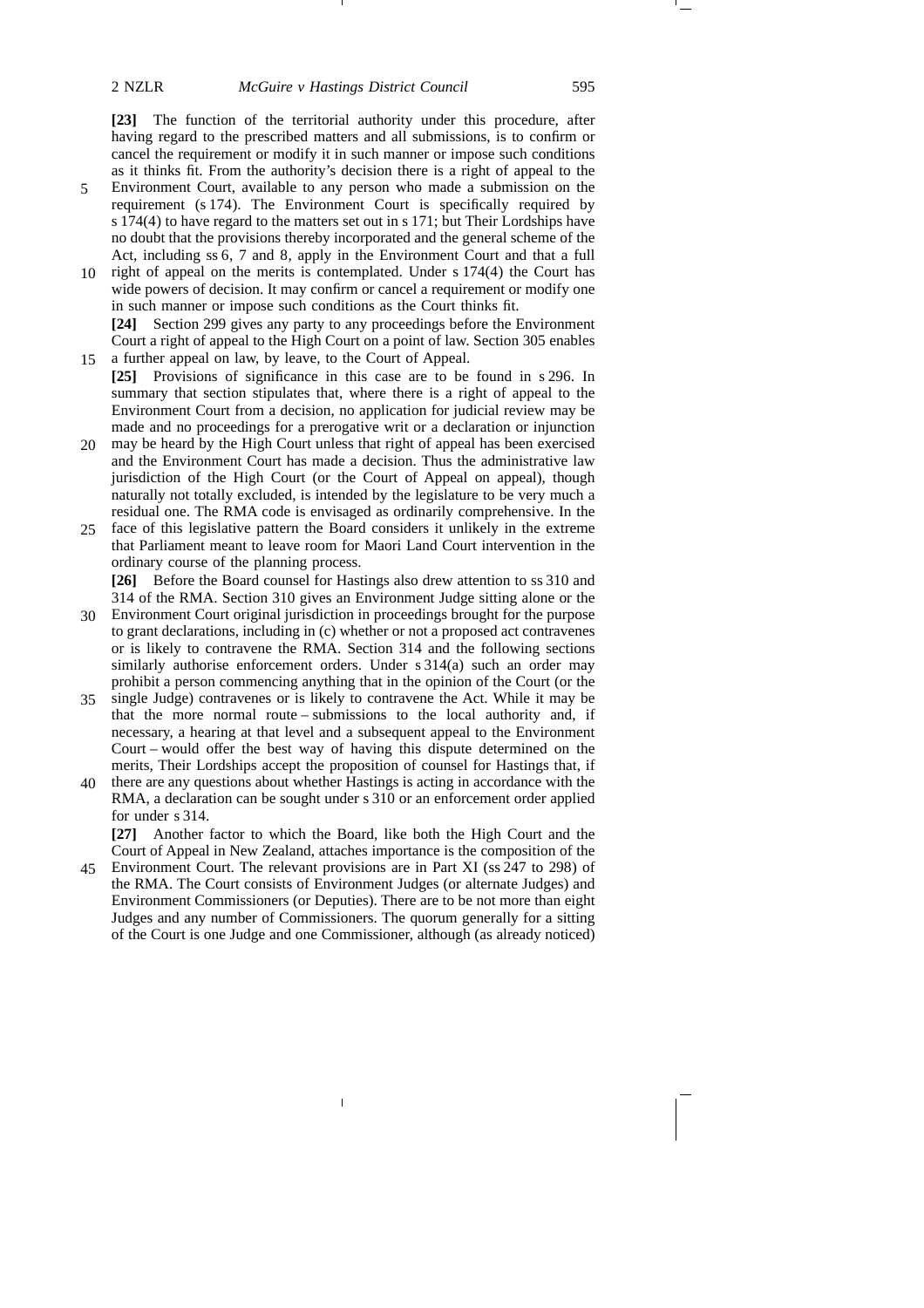**[23]** The function of the territorial authority under this procedure, after having regard to the prescribed matters and all submissions, is to confirm or cancel the requirement or modify it in such manner or impose such conditions as it thinks fit. From the authority's decision there is a right of appeal to the

- Environment Court, available to any person who made a submission on the requirement (s 174). The Environment Court is specifically required by s 174(4) to have regard to the matters set out in s 171; but Their Lordships have no doubt that the provisions thereby incorporated and the general scheme of the Act, including ss 6, 7 and 8, apply in the Environment Court and that a full 5
- right of appeal on the merits is contemplated. Under s 174(4) the Court has wide powers of decision. It may confirm or cancel a requirement or modify one in such manner or impose such conditions as the Court thinks fit. **[24]** Section 299 gives any party to any proceedings before the Environment 10

Court a right of appeal to the High Court on a point of law. Section 305 enables a further appeal on law, by leave, to the Court of Appeal.

- **[25]** Provisions of significance in this case are to be found in s 296. In summary that section stipulates that, where there is a right of appeal to the Environment Court from a decision, no application for judicial review may be made and no proceedings for a prerogative writ or a declaration or injunction
- may be heard by the High Court unless that right of appeal has been exercised and the Environment Court has made a decision. Thus the administrative law jurisdiction of the High Court (or the Court of Appeal on appeal), though naturally not totally excluded, is intended by the legislature to be very much a residual one. The RMA code is envisaged as ordinarily comprehensive. In the 20
- face of this legislative pattern the Board considers it unlikely in the extreme that Parliament meant to leave room for Maori Land Court intervention in the ordinary course of the planning process. 25

**[26]** Before the Board counsel for Hastings also drew attention to ss 310 and 314 of the RMA. Section 310 gives an Environment Judge sitting alone or the

- Environment Court original jurisdiction in proceedings brought for the purpose 30 to grant declarations, including in (c) whether or not a proposed act contravenes or is likely to contravene the RMA. Section 314 and the following sections similarly authorise enforcement orders. Under s 314(a) such an order may prohibit a person commencing anything that in the opinion of the Court (or the
- single Judge) contravenes or is likely to contravene the Act. While it may be that the more normal route – submissions to the local authority and, if necessary, a hearing at that level and a subsequent appeal to the Environment Court – would offer the best way of having this dispute determined on the merits, Their Lordships accept the proposition of counsel for Hastings that, if 35
- there are any questions about whether Hastings is acting in accordance with the 40 RMA, a declaration can be sought under s 310 or an enforcement order applied for under s 314.

**[27]** Another factor to which the Board, like both the High Court and the Court of Appeal in New Zealand, attaches importance is the composition of the

Environment Court. The relevant provisions are in Part XI (ss 247 to 298) of 45the RMA. The Court consists of Environment Judges (or alternate Judges) and Environment Commissioners (or Deputies). There are to be not more than eight Judges and any number of Commissioners. The quorum generally for a sitting of the Court is one Judge and one Commissioner, although (as already noticed)